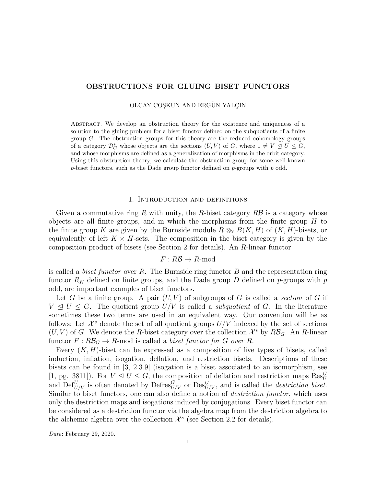## OBSTRUCTIONS FOR GLUING BISET FUNCTORS

OLCAY COSKUN AND ERGÜN YALCIN

Abstract. We develop an obstruction theory for the existence and uniqueness of a solution to the gluing problem for a biset functor defined on the subquotients of a finite group  $G$ . The obstruction groups for this theory are the reduced cohomology groups of a category  $\mathcal{D}_{G}^{*}$  whose objects are the sections  $(U, V)$  of G, where  $1 \neq V \leq U \leq G$ , and whose morphisms are defined as a generalization of morphisms in the orbit category. Using this obstruction theory, we calculate the obstruction group for some well-known  $p$ -biset functors, such as the Dade group functor defined on  $p$ -groups with  $p$  odd.

## 1. Introduction and definitions

Given a commutative ring R with unity, the R-biset category  $R\mathcal{B}$  is a category whose objects are all finite groups, and in which the morphisms from the finite group  $H$  to the finite group K are given by the Burnside module  $R \otimes_{\mathbb{Z}} B(K, H)$  of  $(K, H)$ -bisets, or equivalently of left  $K \times H$ -sets. The composition in the biset category is given by the composition product of bisets (see Section 2 for details). An R-linear functor

# $F: R\mathcal{B} \to R$ -mod

is called a *biset functor* over  $R$ . The Burnside ring functor  $B$  and the representation ring functor  $R_K$  defined on finite groups, and the Dade group D defined on p-groups with p odd, are important examples of biset functors.

Let G be a finite group. A pair  $(U, V)$  of subgroups of G is called a section of G if  $V \leq U \leq G$ . The quotient group  $U/V$  is called a *subquotient* of G. In the literature sometimes these two terms are used in an equivalent way. Our convention will be as follows: Let  $\mathcal{X}^s$  denote the set of all quotient groups  $U/V$  indexed by the set of sections  $(U, V)$  of G. We denote the R-biset category over the collection  $\mathcal{X}^s$  by  $R\mathcal{B}_G$ . An R-linear functor  $F: R\mathcal{B}_G \to R$ -mod is called a *biset functor for G over R*.

Every  $(K, H)$ -biset can be expressed as a composition of five types of bisets, called induction, inflation, isogation, deflation, and restriction bisets. Descriptions of these bisets can be found in [3, 2.3.9] (isogation is a biset associated to an isomorphism, see [1, pg. 3811]). For  $V \leq U \leq G$ , the composition of deflation and restriction maps  $\text{Res}_{U}^{G}$ and Def $U_{U/V}$  is often denoted by Defres ${}_{U/V}^G$  or  $\text{Des}_{U/V}^G$ , and is called the *destriction biset.* Similar to biset functors, one can also define a notion of *destriction functor*, which uses only the destriction maps and isogations induced by conjugations. Every biset functor can be considered as a destriction functor via the algebra map from the destriction algebra to the alchemic algebra over the collection  $\mathcal{X}^s$  (see Section 2.2 for details).

Date: February 29, 2020.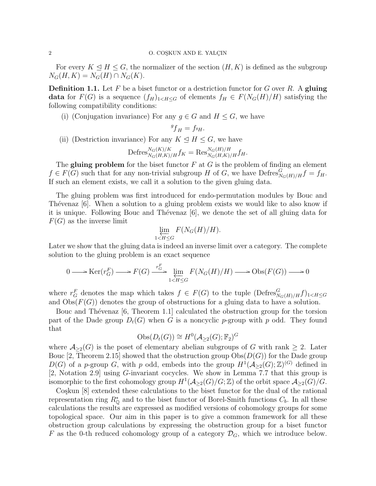For every  $K \leq H \leq G$ , the normalizer of the section  $(H, K)$  is defined as the subgroup  $N_G(H, K) = N_G(H) \cap N_G(K).$ 

**Definition 1.1.** Let F be a biset functor or a destriction functor for G over R. A gluing data for  $F(G)$  is a sequence  $(f_H)_{1 \le H \le G}$  of elements  $f_H \in F(N_G(H)/H)$  satisfying the following compatibility conditions:

(i) (Conjugation invariance) For any  $g \in G$  and  $H \leq G$ , we have

$$
{}^gf_H = f_{^gH}.
$$

(ii) (Destriction invariance) For any  $K \leq H \leq G$ , we have

$$
\mathrm{Defres}_{N_G(H,K)/H}^{N_G(K)/K} f_K = \mathrm{Res}_{N_G(H,K)/H}^{N_G(H)/H} f_H.
$$

The gluing problem for the biset functor  $F$  at  $G$  is the problem of finding an element  $f \in F(G)$  such that for any non-trivial subgroup H of G, we have  $Defres_{N_G(H)/H}^G f = f_H$ . If such an element exists, we call it a solution to the given gluing data.

The gluing problem was first introduced for endo-permutation modules by Bouc and Thévenaz [6]. When a solution to a gluing problem exists we would like to also know if it is unique. Following Bouc and Thévenaz  $[6]$ , we denote the set of all gluing data for  $F(G)$  as the inverse limit

$$
\varprojlim_{1 < H \leq G} F(N_G(H)/H).
$$

Later we show that the gluing data is indeed an inverse limit over a category. The complete solution to the gluing problem is an exact sequence

$$
0 \longrightarrow \text{Ker}(r_G^F) \longrightarrow F(G) \xrightarrow{r_G^F} \lim_{1 \le H \le G} F(N_G(H)/H) \longrightarrow \text{Obs}(F(G)) \longrightarrow 0
$$

where  $r_G^F$  denotes the map which takes  $f \in F(G)$  to the tuple  $(\text{Defres}_{N_G(H)/H}^G f)_{1 \le H \le G}$ and  $Obs(F(G))$  denotes the group of obstructions for a gluing data to have a solution.

Bouc and Thévenaz  $[6,$  Theorem 1.1] calculated the obstruction group for the torsion part of the Dade group  $D_t(G)$  when G is a noncyclic p-group with p odd. They found that

$$
Obs(D_t(G)) \cong H^0(\mathcal{A}_{\geq 2}(G); \mathbb{F}_2)^G
$$

where  $\mathcal{A}_{\geq 2}(G)$  is the poset of elementary abelian subgroups of G with rank  $\geq 2$ . Later Bouc [2, Theorem 2.15] showed that the obstruction group  $\mathrm{Obs}(D(G))$  for the Dade group  $D(G)$  of a p-group G, with p odd, embeds into the group  $H^1(\mathcal{A}_{\geq 2}(G);\mathbb{Z})^{(G)}$  defined in [2, Notation 2.9] using G-invariant cocycles. We show in Lemma 7.7 that this group is isomorphic to the first cohomology group  $H^1(\mathcal{A}_{\geq 2}(G)/G;\mathbb{Z})$  of the orbit space  $\mathcal{A}_{\geq 2}(G)/G$ .

Co<sub>skun</sub> [8] extended these calculations to the biset functor for the dual of the rational representation ring  $R^*_{\mathbb{Q}}$  and to the biset functor of Borel-Smith functions  $C_b$ . In all these calculations the results are expressed as modified versions of cohomology groups for some topological space. Our aim in this paper is to give a common framework for all these obstruction group calculations by expressing the obstruction group for a biset functor F as the 0-th reduced cohomology group of a category  $\mathcal{D}_G$ , which we introduce below.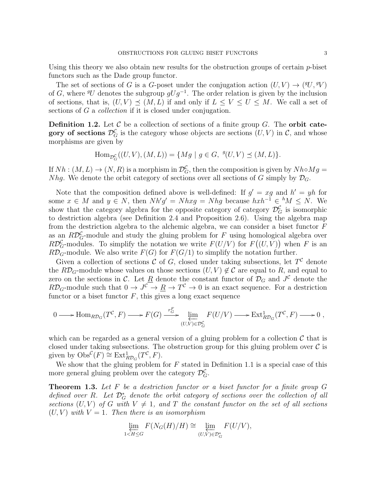Using this theory we also obtain new results for the obstruction groups of certain p-biset functors such as the Dade group functor.

The set of sections of G is a G-poset under the conjugation action  $(U, V) \rightarrow ({}^gU, {}^gV)$ of G, where  ${}^gU$  denotes the subgroup  $gUg^{-1}$ . The order relation is given by the inclusion of sections, that is,  $(U, V) \preceq (M, L)$  if and only if  $L \leq V \leq U \leq M$ . We call a set of sections of G a *collection* if it is closed under conjugation.

**Definition 1.2.** Let  $\mathcal C$  be a collection of sections of a finite group  $G$ . The **orbit cate**gory of sections  $\mathcal{D}_G^{\mathcal{C}}$  is the category whose objects are sections  $(U, V)$  in  $\mathcal{C}$ , and whose morphisms are given by

Hom<sub>$$
\mathcal{D}_{G}^{c}((U, V), (M, L)) = \{Mg \mid g \in G, \ {}^{g}(U, V) \preceq (M, L)\}.
$$</sub>

If  $Nh : (M, L) \to (N, R)$  is a morphism in  $\mathcal{D}_G^{\mathcal{C}}$ , then the composition is given by  $Nh \circ Mg =$ Nhg. We denote the orbit category of sections over all sections of G simply by  $\mathcal{D}_G$ .

Note that the composition defined above is well-defined: If  $g' = xg$  and  $h' = yh$  for some  $x \in M$  and  $y \in N$ , then  $Nh'g' = Nhxg = Nhg$  because  $hxh^{-1} \in {}^hM \leq N$ . We show that the category algebra for the opposite category of category  $\mathcal{D}_G^{\mathcal{C}}$  is isomorphic to destriction algebra (see Definition 2.4 and Proposition 2.6). Using the algebra map from the destriction algebra to the alchemic algebra, we can consider a biset functor  $F$ as an  $R\mathcal{D}_G^{\mathcal{C}}$ -module and study the gluing problem for F using homological algebra over  $R\mathcal{D}_G^{\mathcal{C}}$ -modules. To simplify the notation we write  $F(U/V)$  for  $F((U,V))$  when F is an  $R\mathcal{D}_G$ -module. We also write  $F(G)$  for  $F(G/1)$  to simplify the notation further.

Given a collection of sections  $C$  of  $G$ , closed under taking subsections, let  $T^{\mathcal{C}}$  denote the  $R\mathcal{D}_G$ -module whose values on those sections  $(U, V) \notin \mathcal{C}$  are equal to R, and equal to zero on the sections in C. Let  $\underline{R}$  denote the constant functor of  $\mathcal{D}_G$  and  $J^{\mathcal{C}}$  denote the  $R\mathcal{D}_G$ -module such that  $0 \to J^{\mathcal{C}} \to \underline{R} \to T^{\mathcal{C}} \to 0$  is an exact sequence. For a destriction functor or a biset functor  $F$ , this gives a long exact sequence

$$
0 \longrightarrow \text{Hom}_{R\mathcal{D}_G}(T^{\mathcal{C}}, F) \longrightarrow F(G) \xrightarrow{r_G^F} \underleftarrow{\lim}_{(U,V)\in \mathcal{D}_G^{\mathcal{C}}} F(U/V) \longrightarrow \text{Ext}_{R\mathcal{D}_G}^1(T^{\mathcal{C}}, F) \longrightarrow 0,
$$

which can be regarded as a general version of a gluing problem for a collection  $\mathcal C$  that is closed under taking subsections. The obstruction group for this gluing problem over  $\mathcal C$  is given by  $\mathrm{Obs}^{\mathcal{C}}(F) \cong \mathrm{Ext}^1_{R\mathcal{D}_G}(T^{\mathcal{C}}, F).$ 

We show that the gluing problem for  $F$  stated in Definition 1.1 is a special case of this more general gluing problem over the category  $\mathcal{D}_G^{\mathcal{C}}$ .

**Theorem 1.3.** Let  $F$  be a destriction functor or a biset functor for a finite group  $G$ defined over R. Let  $\mathcal{D}_{G}^{*}$  denote the orbit category of sections over the collection of all sections  $(U, V)$  of G with  $V \neq 1$ , and T the constant functor on the set of all sections  $(U, V)$  with  $V = 1$ . Then there is an isomorphism

$$
\varprojlim_{1 \leq H \leq G} F(N_G(H)/H) \cong \varprojlim_{(U,V) \in \mathcal{D}_G^*} F(U/V),
$$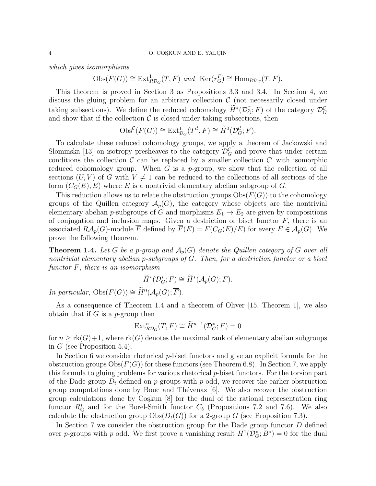which gives isomorphisms

 $\text{Obs}(F(G)) \cong \text{Ext}^1_{R\mathcal{D}_G}(T, F)$  and  $\text{Ker}(r_G^F) \cong \text{Hom}_{R\mathcal{D}_G}(T, F)$ .

This theorem is proved in Section 3 as Propositions 3.3 and 3.4. In Section 4, we discuss the gluing problem for an arbitrary collection  $\mathcal C$  (not necessarily closed under taking subsections). We define the reduced cohomology  $\tilde{H}^*(\mathcal{D}_G^{\mathcal{C}};F)$  of the category  $\mathcal{D}_G^{\mathcal{C}}$ and show that if the collection  $\mathcal C$  is closed under taking subsections, then

$$
\mathrm{Obs}^{\mathcal{C}}(F(G)) \cong \mathrm{Ext}^1_{\mathcal{D}_G}(T^{\mathcal{C}}, F) \cong \widetilde{H}^0(\mathcal{D}_G^{\mathcal{C}}; F).
$$

To calculate these reduced cohomology groups, we apply a theorem of Jackowski and Slominska [13] on isotropy presheaves to the category  $\mathcal{D}_G^{\mathcal{C}}$  and prove that under certain conditions the collection  $\mathcal C$  can be replaced by a smaller collection  $\mathcal C'$  with isomorphic reduced cohomology group. When  $G$  is a p-group, we show that the collection of all sections  $(U, V)$  of G with  $V \neq 1$  can be reduced to the collections of all sections of the form  $(C_G(E), E)$  where E is a nontrivial elementary abelian subgroup of G.

This reduction allows us to relate the obstruction groups  $\mathrm{Obs}(F(G))$  to the cohomology groups of the Quillen category  $\mathcal{A}_p(G)$ , the category whose objects are the nontrivial elementary abelian p-subgroups of G and morphisms  $E_1 \rightarrow E_2$  are given by compositions of conjugation and inclusion maps. Given a destriction or biset functor  $F$ , there is an associated  $R\mathcal{A}_p(G)$ -module  $\overline{F}$  defined by  $\overline{F}(E) = F(C_G(E)/E)$  for every  $E \in \mathcal{A}_p(G)$ . We prove the following theorem.

**Theorem 1.4.** Let G be a p-group and  $\mathcal{A}_p(G)$  denote the Quillen category of G over all nontrivial elementary abelian p-subgroups of G. Then, for a destriction functor or a biset functor F, there is an isomorphism

$$
\widetilde{H}^*(\mathcal{D}_G^*; F) \cong \widetilde{H}^*(\mathcal{A}_p(G); \overline{F}).
$$

*In particular,*  $Obs(F(G)) \cong \widetilde{H}^0(\mathcal{A}_p(G); \overline{F}).$ 

As a consequence of Theorem 1.4 and a theorem of Oliver [15, Theorem 1], we also obtain that if  $G$  is a *p*-group then

$$
\operatorname{Ext}^n_{R\mathcal{D}_G}(T,F) \cong \widetilde{H}^{n-1}(\mathcal{D}_G^*;F) = 0
$$

for  $n \geq \text{rk}(G)+1$ , where  $\text{rk}(G)$  denotes the maximal rank of elementary abelian subgroups in  $G$  (see Proposition 5.4).

In Section 6 we consider rhetorical *p*-biset functors and give an explicit formula for the obstruction groups  $\mathrm{Obs}(F(G))$  for these functors (see Theorem 6.8). In Section 7, we apply this formula to gluing problems for various rhetorical  $p$ -biset functors. For the torsion part of the Dade group  $D_t$  defined on p-groups with p odd, we recover the earlier obstruction group computations done by Bouc and Thévenaz  $[6]$ . We also recover the obstruction group calculations done by Coşkun  $[8]$  for the dual of the rational representation ring functor  $R^*_{\mathbb{Q}}$  and for the Borel-Smith functor  $C_b$  (Propositions 7.2 and 7.6). We also calculate the obstruction group  $\mathrm{Obs}(D_t(G))$  for a 2-group G (see Proposition 7.3).

In Section 7 we consider the obstruction group for the Dade group functor D defined over p-groups with p odd. We first prove a vanishing result  $H^1(\mathcal{D}_G^*; B^*) = 0$  for the dual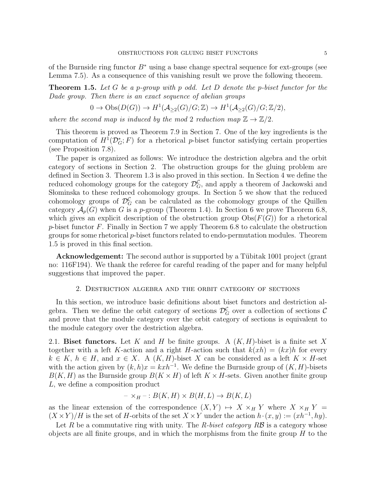of the Burnside ring functor  $B^*$  using a base change spectral sequence for ext-groups (see Lemma 7.5). As a consequence of this vanishing result we prove the following theorem.

**Theorem 1.5.** Let G be a p-group with p odd. Let D denote the p-biset functor for the Dade group. Then there is an exact sequence of abelian groups

$$
0 \to \mathrm{Obs}(D(G)) \to H^1(\mathcal{A}_{\geq 2}(G)/G;\mathbb{Z}) \to H^1(\mathcal{A}_{\geq 2}(G)/G;\mathbb{Z}/2),
$$

where the second map is induced by the mod 2 reduction map  $\mathbb{Z} \to \mathbb{Z}/2$ .

This theorem is proved as Theorem 7.9 in Section 7. One of the key ingredients is the computation of  $H^1(\mathcal{D}_G^*; F)$  for a rhetorical p-biset functor satisfying certain properties (see Proposition 7.8).

The paper is organized as follows: We introduce the destriction algebra and the orbit category of sections in Section 2. The obstruction groups for the gluing problem are defined in Section 3. Theorem 1.3 is also proved in this section. In Section 4 we define the reduced cohomology groups for the category  $\mathcal{D}_G^{\mathcal{C}}$ , and apply a theorem of Jackowski and Słominska to these reduced cohomology groups. In Section 5 we show that the reduced cohomology groups of  $\mathcal{D}_G^{\mathcal{C}}$  can be calculated as the cohomology groups of the Quillen category  $\mathcal{A}_p(G)$  when G is a p-group (Theorem 1.4). In Section 6 we prove Theorem 6.8, which gives an explicit description of the obstruction group  $\text{Obs}(F(G))$  for a rhetorical  $p$ -biset functor F. Finally in Section 7 we apply Theorem 6.8 to calculate the obstruction groups for some rhetorical  $p$ -biset functors related to endo-permutation modules. Theorem 1.5 is proved in this final section.

**Acknowledgement:** The second author is supported by a Tübitak 1001 project (grant no: 116F194). We thank the referee for careful reading of the paper and for many helpful suggestions that improved the paper.

## 2. Destriction algebra and the orbit category of sections

In this section, we introduce basic definitions about biset functors and destriction algebra. Then we define the orbit category of sections  $\mathcal{D}_G^{\mathcal{C}}$  over a collection of sections  $\mathcal{C}$ and prove that the module category over the orbit category of sections is equivalent to the module category over the destriction algebra.

2.1. Biset functors. Let K and H be finite groups. A  $(K, H)$ -biset is a finite set X together with a left K-action and a right H-action such that  $k(xh) = (kx)h$  for every  $k \in K$ ,  $h \in H$ , and  $x \in X$ . A  $(K, H)$ -biset X can be considered as a left  $K \times H$ -set with the action given by  $(k, h)x = kxh^{-1}$ . We define the Burnside group of  $(K, H)$ -bisets  $B(K, H)$  as the Burnside group  $B(K \times H)$  of left  $K \times H$ -sets. Given another finite group L, we define a composition product

$$
- \times_H - : B(K, H) \times B(H, L) \to B(K, L)
$$

as the linear extension of the correspondence  $(X, Y) \rightarrow X \times_H Y$  where  $X \times_H Y =$  $(X \times Y)/H$  is the set of H-orbits of the set  $X \times Y$  under the action  $h \cdot (x, y) := (xh^{-1}, hy)$ .

Let R be a commutative ring with unity. The R-biset category  $R\mathcal{B}$  is a category whose objects are all finite groups, and in which the morphisms from the finite group  $H$  to the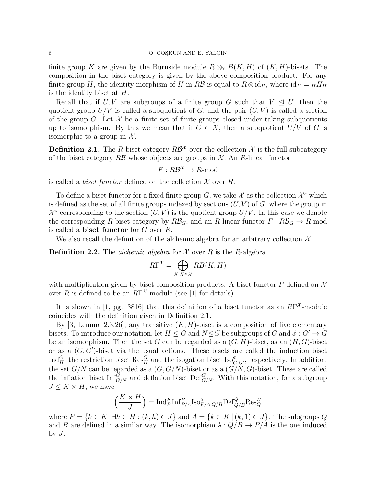finite group K are given by the Burnside module  $R \otimes_{\mathbb{Z}} B(K, H)$  of  $(K, H)$ -bisets. The composition in the biset category is given by the above composition product. For any finite group H, the identity morphism of H in RB is equal to  $R \otimes id_H$ , where  $id_H = HHH$ is the identity biset at  $H$ .

Recall that if U, V are subgroups of a finite group G such that  $V \leq U$ , then the quotient group  $U/V$  is called a subquotient of G, and the pair  $(U, V)$  is called a section of the group G. Let  $\mathcal X$  be a finite set of finite groups closed under taking subquotients up to isomorphism. By this we mean that if  $G \in \mathcal{X}$ , then a subquotient  $U/V$  of G is isomorphic to a group in  $\mathcal{X}$ .

**Definition 2.1.** The R-biset category  $R\mathcal{B}^{\chi}$  over the collection  $\mathcal{X}$  is the full subcategory of the biset category RB whose objects are groups in  $\mathcal{X}$ . An R-linear functor

 $F: R\mathcal{B}^{\mathcal{X}} \to R$ -mod

is called a *biset functor* defined on the collection  $\mathcal X$  over  $R$ .

To define a biset functor for a fixed finite group G, we take  $\mathcal X$  as the collection  $\mathcal X^s$  which is defined as the set of all finite groups indexed by sections  $(U, V)$  of  $G$ , where the group in  $\mathcal{X}^s$  corresponding to the section  $(U, V)$  is the quotient group  $U/V$ . In this case we denote the corresponding R-biset category by  $R\mathcal{B}_G$ , and an R-linear functor  $F: R\mathcal{B}_G \to R$ -mod is called a biset functor for G over R.

We also recall the definition of the alchemic algebra for an arbitrary collection  $\mathcal{X}$ .

**Definition 2.2.** The *alchemic algebra* for X over R is the R-algebra

$$
R\Gamma^{\mathcal{X}} = \bigoplus_{K, H \in \mathcal{X}} RB(K, H)
$$

with multiplication given by biset composition products. A biset functor  $F$  defined on  $\mathcal X$ over R is defined to be an  $R\Gamma^{\mathcal{X}}$ -module (see [1] for details).

It is shown in [1, pg. 3816] that this definition of a biset functor as an  $R\Gamma^{\mathcal{X}}$ -module coincides with the definition given in Definition 2.1.

By [3, Lemma 2.3.26], any transitive  $(K, H)$ -biset is a composition of five elementary bisets. To introduce our notation, let  $H \leq G$  and  $N \trianglelefteq G$  be subgroups of G and  $\phi : G' \to G$ be an isomorphism. Then the set G can be regarded as a  $(G, H)$ -biset, as an  $(H, G)$ -biset or as a  $(G, G')$ -biset via the usual actions. These bisets are called the induction biset  $\text{Ind}_{H}^G$ , the restriction biset  $\text{Res}_{H}^G$  and the isogation biset  $\text{Iso}_{G,G'}^{\phi}$ , respectively. In addition, the set  $G/N$  can be regarded as a  $(G, G/N)$ -biset or as a  $(G/N, G)$ -biset. These are called the inflation biset  $\text{Inf}_{G/N}^G$  and deflation biset  $\text{Def}_{G/N}^G$ . With this notation, for a subgroup  $J \leq K \times H$ , we have

$$
\left(\frac{K\times H}{J}\right) = \text{Ind}_{P}^{K}\text{Inf}_{P/A}^{P}\text{Iso}_{P/A,Q/B}^{\lambda}\text{Def}_{Q/B}^{Q}\text{Res}_{Q}^{H}
$$

where  $P = \{k \in K \mid \exists h \in H : (k, h) \in J\}$  and  $A = \{k \in K \mid (k, 1) \in J\}$ . The subgroups Q and B are defined in a similar way. The isomorphism  $\lambda: Q/B \to P/A$  is the one induced by J.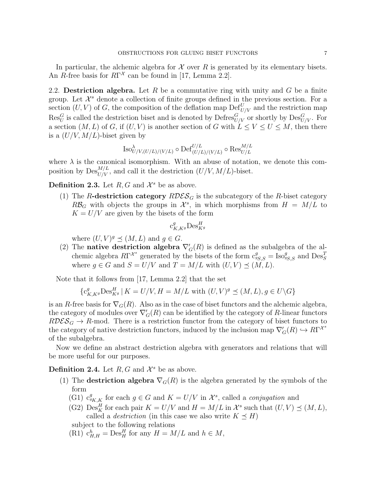In particular, the alchemic algebra for  $\mathcal X$  over R is generated by its elementary bisets. An R-free basis for  $R\Gamma^{\mathcal{X}}$  can be found in [17, Lemma 2.2].

2.2. Destriction algebra. Let R be a commutative ring with unity and G be a finite group. Let  $\mathcal{X}^s$  denote a collection of finite groups defined in the previous section. For a section  $(U, V)$  of G, the composition of the deflation map  $\mathrm{Def}_{U/V}^U$  and the restriction map  $\text{Res}_{U}^G$  is called the destriction biset and is denoted by  $\text{Defres}_{U/V}^G$  or shortly by  $\text{Des}_{U/V}^G$ . For a section  $(M, L)$  of G, if  $(U, V)$  is another section of G with  $L \leq V \leq U \leq M$ , then there is a  $(U/V, M/L)$ -biset given by

$$
\operatorname{Iso}\nolimits_{U/V, (U/L)/(V/L)}^{\lambda} \circ \operatorname{Def}\nolimits_{(U/L)/(V/L)}^{U/L} \circ \operatorname{Res}\nolimits_{U/L}^{M/L}
$$

where  $\lambda$  is the canonical isomorphism. With an abuse of notation, we denote this composition by  $\mathrm{Des}_{U/V}^{M/L}$ , and call it the destriction  $(U/V, M/L)$ -biset.

**Definition 2.3.** Let  $R, G$  and  $\mathcal{X}^s$  be as above.

(1) The R-destriction category  $RDES_G$  is the subcategory of the R-biset category  $R\mathcal{B}_G$  with objects the groups in  $\mathcal{X}^s$ , in which morphisms from  $H = M/L$  to  $K = U/V$  are given by the bisets of the form

$$
\mathbf{c}_{K,K^g}^g \mathrm{Des}^H_{K^g}
$$

where  $(U, V)^g \preceq (M, L)$  and  $g \in G$ .

(2) The **native destriction algebra**  $\nabla'_{G}(R)$  is defined as the subalgebra of the alchemic algebra  $R\Gamma^{\mathcal{X}^s}$  generated by the bisets of the form  $c_{sS,S}^g = \text{Iso}_{sS,S}^g$  and  $\text{Des}_{S}^T$ where  $g \in G$  and  $S = U/V$  and  $T = M/L$  with  $(U, V) \preceq (M, L)$ .

Note that it follows from [17, Lemma 2.2] that the set

$$
\{ \mathbf{c}^g_{K,K^g} \mathrm{Des}^H_{K^g} \, | \, K=U/V, H=M/L \text{ with } (U,V)^g \preceq (M,L), g \in U \backslash G \}
$$

is an R-free basis for  $\nabla_G(R)$ . Also as in the case of biset functors and the alchemic algebra, the category of modules over  $\nabla_G'(R)$  can be identified by the category of R-linear functors  $RDES_G \rightarrow R$ -mod. There is a restriction functor from the category of biset functors to the category of native destriction functors, induced by the inclusion map  $\nabla'_{G}(R) \hookrightarrow R\Gamma^{\mathcal{X}^s}$ of the subalgebra.

Now we define an abstract destriction algebra with generators and relations that will be more useful for our purposes.

**Definition 2.4.** Let  $R, G$  and  $\mathcal{X}^s$  be as above.

- (1) The **destriction algebra**  $\nabla_G(R)$  is the algebra generated by the symbols of the form
	- (G1)  $c_{g_{K,K}}^g$  for each  $g \in G$  and  $K = U/V$  in  $\mathcal{X}^s$ , called a *conjugation* and
	- (G2) Des<sub>K</sub><sup>H</sup> for each pair  $K = U/V$  and  $H = M/L$  in  $\mathcal{X}^s$  such that  $(U, V) \preceq (M, L)$ , called a *destriction* (in this case we also write  $K \preceq H$ )

subject to the following relations

(R1)  $c_{H,H}^h$  = Des<sub>H</sub><sup>H</sup> for any  $H = M/L$  and  $h \in M$ ,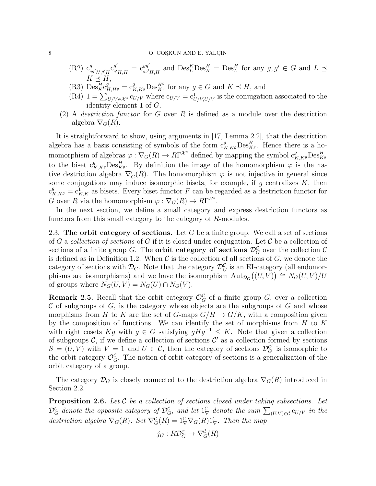### 8 O. COSKUN AND E. YALÇIN

- $(R2)$   $c_a^g$  $_{gg'\overline{H},g'\overline{H}}^{\overline{g}'}{\rm C}_{g'}^{\overline{g}'}$  $\frac{g^{\prime}}{g^{\prime}H,H}$  =  $\mathrm{c}_{gg^{\prime}}^{gg^{\prime}}$  $g_{g'}^{gg'}$  and  $\mathrm{Des}_L^K \mathrm{Des}_K^H = \mathrm{Des}_L^H$  for any  $g, g' \in G$  and  $L \preceq$  $K \preceq H$ ,
- (R3)  $\mathrm{Des}_{K}^{\overline{H}} c_{H,Hg}^{g'} = c_{K,Kg}^{g} \mathrm{Des}_{Kg}^{Hg}$  for any  $g \in G$  and  $K \preceq H$ , and
- (R4)  $1 = \sum_{U/V \in \mathcal{X}^s} c_{U/V}$  where  $c_{U/V} = c_{U/V,U/V}^1$  is the conjugation associated to the identity element 1 of G.
- (2) A *destriction functor* for  $G$  over  $R$  is defined as a module over the destriction algebra  $\nabla_G(R)$ .

It is straightforward to show, using arguments in [17, Lemma 2.2], that the destriction algebra has a basis consisting of symbols of the form  $c_{K,Kg}^g$ Des $_{Kg}^H$ . Hence there is a homomorphism of algebras  $\varphi : \nabla_G(R) \to R\Gamma^{\mathcal{X}^s}$  defined by mapping the symbol  $c_{K,Kg}^g \text{Des}_{Kg}^H$ to the biset  $c_{K,K}^g$ ,  $\text{Des}_{K^g}^H$ . By definition the image of the homomorphism  $\varphi$  is the native destriction algebra  $\nabla'_{G}(R)$ . The homomorphism  $\varphi$  is not injective in general since some conjugations may induce isomorphic bisets, for example, if  $g$  centralizes  $K$ , then  $c_{K,K^g}^g = c_{K,K}^1$  as bisets. Every biset functor F can be regarded as a destriction functor for G over R via the homomorphism  $\varphi : \nabla_G(R) \to R\Gamma^{\mathcal{X}^s}$ .

In the next section, we define a small category and express destriction functors as functors from this small category to the category of R-modules.

2.3. The orbit category of sections. Let  $G$  be a finite group. We call a set of sections of G a collection of sections of G if it is closed under conjugation. Let C be a collection of sections of a finite group G. The **orbit category of sections**  $\mathcal{D}_G^{\mathcal{C}}$  over the collection  $\mathcal{C}$ is defined as in Definition 1.2. When  $\mathcal C$  is the collection of all sections of  $G$ , we denote the category of sections with  $\mathcal{D}_G$ . Note that the category  $\mathcal{D}_G^{\mathcal{C}}$  is an EI-category (all endomorphisms are isomorphisms) and we have the isomorphism  ${\rm Aut}_{\mathcal{D}_G}((U,V)) \cong N_G(U,V)/U$ of groups where  $N_G(U, V) = N_G(U) \cap N_G(V)$ .

**Remark 2.5.** Recall that the orbit category  $\mathcal{O}_G^{\mathcal{C}}$  of a finite group  $G$ , over a collection  $\mathcal C$  of subgroups of  $G$ , is the category whose objects are the subgroups of  $G$  and whose morphisms from H to K are the set of G-maps  $G/H \to G/K$ , with a composition given by the composition of functions. We can identify the set of morphisms from  $H$  to  $K$ with right cosets Kg with  $g \in G$  satisfying  $gHg^{-1} \leq K$ . Note that given a collection of subgroups  $\mathcal{C}$ , if we define a collection of sections  $\mathcal{C}'$  as a collection formed by sections  $S = (U, V)$  with  $V = 1$  and  $U \in \mathcal{C}$ , then the category of sections  $\mathcal{D}_G^{C'}$  is isomorphic to the orbit category  $\mathcal{O}_G^{\mathcal{C}}$ . The notion of orbit category of sections is a generalization of the orbit category of a group.

The category  $\mathcal{D}_G$  is closely connected to the destriction algebra  $\nabla_G(R)$  introduced in Section 2.2.

**Proposition 2.6.** Let  $C$  be a collection of sections closed under taking subsections. Let  $\mathcal{D}_G^{\mathcal{C}}$  denote the opposite category of  $\mathcal{D}_G^{\mathcal{C}}$ , and let  $1_\nabla^{\mathcal{C}}$  denote the sum  $\sum_{(U,V)\in\mathcal{C}} \mathrm{c}_{U/V}$  in the destriction algebra  $\nabla_G(R)$ . Set  $\nabla_G^{\mathcal{C}}(R) = 1_{\nabla}^{\mathcal{C}} \nabla_G(R) 1_{\nabla}^{\mathcal{C}}$ . Then the map

$$
j_G: R\overline{\mathcal{D}_G^{\mathcal{C}}} \to \nabla_G^{\mathcal{C}}(R)
$$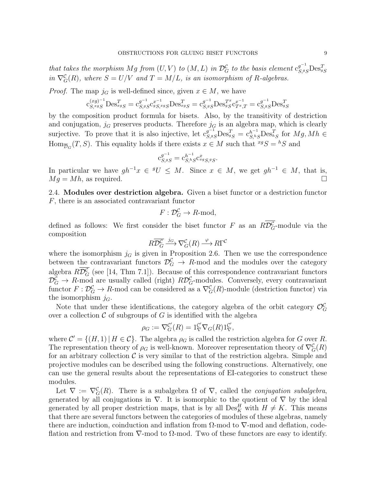that takes the morphism Mg from  $(U, V)$  to  $(M, L)$  in  $\mathcal{D}_G^{\mathcal{C}}$  to the basis element  $c_{S, gS}^{g^{-1}}$  $\text{Des}_{gS}^T$ in  $\nabla_G^{\mathcal{C}}(R)$ , where  $S = U/V$  and  $T = M/L$ , is an isomorphism of R-algebras.

*Proof.* The map  $j_G$  is well-defined since, given  $x \in M$ , we have

$$
\mathbf{c}_{S,^{xg}S}^{(xg)^{-1}}\mathbf{Des}_{^{xg}S}^{T} = \mathbf{c}_{S,^{g}S}^{g^{-1}}\mathbf{c}_{^{g}S,^{xg}S}^{x^{-1}}\mathbf{Des}_{^{xg}S}^{T} = \mathbf{c}_{S,^{g}S}^{g^{-1}}\mathbf{Des}_{^{g}S}^{T^{x}}\mathbf{c}_{T^{x},T}^{x^{-1}} = \mathbf{c}_{S,^{g}S}^{g^{-1}}\mathbf{Des}_{^{g}S}^{T}
$$

by the composition product formula for bisets. Also, by the transitivity of destriction and conjugation,  $j_G$  preserves products. Therefore  $j_G$  is an algebra map, which is clearly surjective. To prove that it is also injective, let  $c_{S,s_S}^{g^{-1}} D e_{s_S}^{T} = c_{S,s_S}^{h^{-1}} D e_{s_S}^{T}$  for  $Mg, Mh \in$  $\text{Hom}_{\overline{\mathcal{D}}_G}(T, S)$ . This equality holds if there exists  $x \in M$  such that  ${}^{xg}S = {}^hS$  and

$$
c_{S,{}^gS}^{g^{-1}} = c_{S,{}^hS}^{h^{-1}} c_{{}^xgS,{}^gS}^x.
$$

In particular we have  $gh^{-1}x \in {}^gU \leq M$ . Since  $x \in M$ , we get  $gh^{-1} \in M$ , that is,  $Mg = Mh$ , as required.

2.4. Modules over destriction algebra. Given a biset functor or a destriction functor F, there is an associated contravariant functor

$$
F: \mathcal{D}_G^{\mathcal{C}} \to R\text{-mod},
$$

defined as follows: We first consider the biset functor F as an  $R\mathcal{D}_G^{\mathcal{C}}$ -module via the composition

$$
R\overline{\mathcal{D}_G^{\mathcal{C}}} \xrightarrow{j_G} \nabla_G^{\mathcal{C}}(R) \xrightarrow{\varphi} R\Gamma^{\mathcal{C}}
$$

where the isomorphism  $j_G$  is given in Proposition 2.6. Then we use the correspondence between the contravariant functors  $\mathcal{D}_G^{\mathcal{C}} \to R$ -mod and the modules over the category algebra  $R\mathcal{D}_G^{\mathcal{C}}$  (see [14, Thm 7.1]). Because of this correspondence contravariant functors  $\mathcal{D}_G^{\mathcal{C}} \to R$ -mod are usually called (right)  $R\mathcal{D}_G^{\mathcal{C}}$ -modules. Conversely, every contravariant functor  $F: \mathcal{D}_G^{\mathcal{C}} \to R$ -mod can be considered as a  $\nabla_G^{\mathcal{C}}(R)$ -module (destriction functor) via the isomorphism  $j_G$ .

Note that under these identifications, the category algebra of the orbit category  $\mathcal{O}_G^{\mathcal{C}}$ over a collection  $\mathcal C$  of subgroups of  $G$  is identified with the algebra

$$
\rho_G := \nabla_G^{\mathcal{C}'}(R) = 1^{\mathcal{C}'}_{\nabla} \nabla_G(R) 1^{\mathcal{C}'}_{\nabla},
$$

where  $\mathcal{C}' = \{(H, 1) | H \in \mathcal{C}\}\.$  The algebra  $\rho_G$  is called the restriction algebra for G over R. The representation theory of  $\rho_G$  is well-known. Moreover representation theory of  $\nabla_G^{\mathcal{C}}(R)$ for an arbitrary collection  $\mathcal C$  is very similar to that of the restriction algebra. Simple and projective modules can be described using the following constructions. Alternatively, one can use the general results about the representations of EI-categories to construct these modules.

Let  $\nabla := \nabla_G^{\mathcal{C}}(R)$ . There is a subalgebra  $\Omega$  of  $\nabla$ , called the *conjugation subalgebra*, generated by all conjugations in  $\nabla$ . It is isomorphic to the quotient of  $\nabla$  by the ideal generated by all proper destriction maps, that is by all  $\mathrm{Des}_K^H$  with  $H \neq K$ . This means that there are several functors between the categories of modules of these algebras, namely there are induction, coinduction and inflation from  $\Omega$ -mod to  $\nabla$ -mod and deflation, codeflation and restriction from  $\nabla$ -mod to  $\Omega$ -mod. Two of these functors are easy to identify.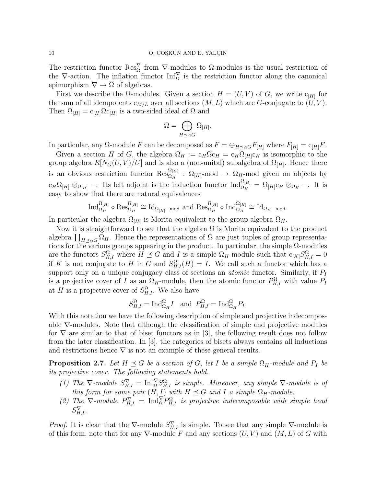The restriction functor  $\text{Res}_{\Omega}^{\nabla}$  from  $\nabla$ -modules to  $\Omega$ -modules is the usual restriction of the  $\nabla$ -action. The inflation functor  $\text{Inf}_{\Omega}^{\nabla}$  is the restriction functor along the canonical epimorphism  $\nabla \rightarrow \Omega$  of algebras.

First we describe the  $\Omega$ -modules. Given a section  $H = (U, V)$  of G, we write  $c_{[H]}$  for the sum of all idempotents  $c_{M/L}$  over all sections  $(M, L)$  which are G-conjugate to  $(U, V)$ . Then  $\Omega_{[H]} = c_{[H]} \Omega c_{[H]}$  is a two-sided ideal of  $\Omega$  and

$$
\Omega=\bigoplus_{H\preceq_G G}\Omega_{[H]}.
$$

In particular, any  $\Omega$ -module F can be decomposed as  $F = \bigoplus_{H \preceq_G G} F_{[H]}$  where  $F_{[H]} = c_{[H]}F$ .

Given a section H of G, the algebra  $\Omega_H := c_H \Omega_{CH} = c_H \Omega_{[H]} c_H$  is isomorphic to the group algebra  $R[N_G(U, V)/U]$  and is also a (non-unital) subalgebra of  $\Omega_{[H]}$ . Hence there is an obvious restriction functor  $\operatorname{Res}_{\Omega_H}^{\Omega_{[H]}}$ :  $\Omega_{[H]}$ -mod  $\to \Omega_{H}$ -mod given on objects by  $c_H\Omega_{[H]}\otimes_{\Omega_{[H]}}$  –. Its left adjoint is the induction functor  $\text{Ind}_{\Omega_H}^{\Omega_{[H]}} = \Omega_{[H]}c_H\otimes_{\Omega_H}$  –. It is easy to show that there are natural equivalences

$$
\operatorname{Ind}_{\Omega_H}^{\Omega_{[H]}} \circ \operatorname{Res}_{\Omega_H}^{\Omega_{[H]}} \cong \operatorname{Id}_{\Omega_{[H]}-\text{mod}} \text{ and } \operatorname{Res}_{\Omega_H}^{\Omega_{[H]}} \circ \operatorname{Ind}_{\Omega_H}^{\Omega_{[H]}} \cong \operatorname{Id}_{\Omega_{H}-\text{mod}}.
$$

In particular the algebra  $\Omega_{[H]}$  is Morita equivalent to the group algebra  $\Omega_H$ .

Now it is straightforward to see that the algebra  $\Omega$  is Morita equivalent to the product algebra  $\prod_{H\preceq_G G} \Omega_H$ . Hence the representations of  $\Omega$  are just tuples of group representations for the various groups appearing in the product. In particular, the simple  $\Omega$ -modules are the functors  $S_{H,I}^{\Omega}$  where  $H \preceq G$  and I is a simple  $\Omega_H$ -module such that  $c_{[K]}S_{H,I}^{\Omega} = 0$ if K is not conjugate to H in G and  $S_{H,I}^{\Omega}(H) = I$ . We call such a functor which has a support only on a unique conjugacy class of sections an *atomic* functor. Similarly, if  $P_I$ is a projective cover of I as an  $\Omega_H$ -module, then the atomic functor  $P_{H,I}^{\Omega}$  with value  $P_I$ at H is a projective cover of  $S_{H,I}^{\Omega}$ . We also have

$$
S_{H,I}^{\Omega} = \text{Ind}_{\Omega_H}^{\Omega} I \text{ and } P_{H,I}^{\Omega} = \text{Ind}_{\Omega_H}^{\Omega} P_I.
$$

With this notation we have the following description of simple and projective indecomposable  $\nabla$ -modules. Note that although the classification of simple and projective modules for  $\nabla$  are similar to that of biset functors as in [3], the following result does not follow from the later classification. In [3], the categories of bisets always contains all inductions and restrictions hence  $\nabla$  is not an example of these general results.

**Proposition 2.7.** Let  $H \preceq G$  be a section of G, let I be a simple  $\Omega_H$ -module and  $P_I$  be its projective cover. The following statements hold.

- (1) The  $\nabla$ -module  $S_{H,I}^{\nabla} = \text{Inf}_{\Omega}^{\nabla} S_{H,I}^{\Omega}$  is simple. Moreover, any simple  $\nabla$ -module is of this form for some pair  $(H, I)$  with  $H \preceq G$  and I a simple  $\Omega_H$ -module.
- (2) The  $\nabla$ -module  $P_{H,I}^{\nabla} = \text{Ind}_{\Omega}^{\nabla} P_{H,I}^{\Omega}$  is projective indecomposable with simple head  $S_{H,I}^{\nabla}$ .

*Proof.* It is clear that the  $\nabla$ -module  $S_{H,I}^{\nabla}$  is simple. To see that any simple  $\nabla$ -module is of this form, note that for any  $\nabla$ -module F and any sections  $(U, V)$  and  $(M, L)$  of G with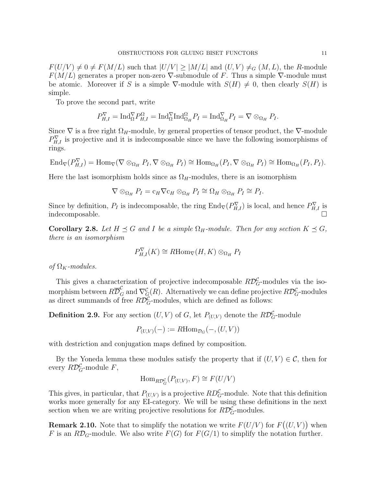$F(U/V) \neq 0 \neq F(M/L)$  such that  $|U/V| \geq |M/L|$  and  $(U, V) \neq_G (M, L)$ , the R-module  $F(M/L)$  generates a proper non-zero  $\nabla$ -submodule of F. Thus a simple  $\nabla$ -module must be atomic. Moreover if S is a simple  $\nabla$ -module with  $S(H) \neq 0$ , then clearly  $S(H)$  is simple.

To prove the second part, write

$$
P_{H,I}^{\nabla} = \text{Ind}_{\Omega}^{\nabla} P_{H,I}^{\Omega} = \text{Ind}_{\Omega}^{\nabla} \text{Ind}_{\Omega_H}^{\Omega} P_I = \text{Ind}_{\Omega_H}^{\nabla} P_I = \nabla \otimes_{\Omega_H} P_I.
$$

Since  $\nabla$  is a free right  $\Omega_H$ -module, by general properties of tensor product, the  $\nabla$ -module  $P_{H,I}^{\nabla}$  is projective and it is indecomposable since we have the following isomorphisms of rings.

$$
\text{End}_{\nabla}(P_{H,I}^{\nabla}) = \text{Hom}_{\nabla}(\nabla \otimes_{\Omega_H} P_I, \nabla \otimes_{\Omega_H} P_I) \cong \text{Hom}_{\Omega_H}(P_I, \nabla \otimes_{\Omega_H} P_I) \cong \text{Hom}_{\Omega_H}(P_I, P_I).
$$

Here the last isomorphism holds since as  $\Omega_H$ -modules, there is an isomorphism

$$
\nabla \otimes_{\Omega_H} P_I = c_H \nabla c_H \otimes_{\Omega_H} P_I \cong \Omega_H \otimes_{\Omega_H} P_I \cong P_I.
$$

Since by definition,  $P_I$  is indecomposable, the ring  $\text{End}_{\nabla}(P_{H,I}^{\nabla})$  is local, and hence  $P_{H,I}^{\nabla}$  is indecomposable.

**Corollary 2.8.** Let  $H \preceq G$  and I be a simple  $\Omega_H$ -module. Then for any section  $K \preceq G$ , there is an isomorphism

$$
P_{H,I}^{\nabla}(K) \cong R\mathrm{Hom}_{\nabla}(H,K) \otimes_{\Omega_H} P_I
$$

of  $\Omega_K$ -modules.

This gives a characterization of projective indecomposable  $R\mathcal{D}_G^{\mathcal{C}}$ -modules via the isomorphism between  $R\overline{\mathcal{D}}_G^{\mathcal{C}}$  and  $\nabla^{\mathcal{C}}_G(R)$ . Alternatively we can define projective  $R\mathcal{D}_G^{\mathcal{C}}$ -modules as direct summands of free  $R\mathcal{D}_G^{\mathcal{C}}$ -modules, which are defined as follows:

**Definition 2.9.** For any section  $(U, V)$  of  $G$ , let  $P_{(U,V)}$  denote the  $R\mathcal{D}_G^{\mathcal{C}}$ -module

 $P_{(U,V)}(-) := R \text{Hom}_{\mathcal{D}_G}(-, (U, V))$ 

with destriction and conjugation maps defined by composition.

By the Yoneda lemma these modules satisfy the property that if  $(U, V) \in \mathcal{C}$ , then for every  $R\mathcal{D}_G^{\mathcal{C}}$ -module  $F$ ,

$$
\operatorname{Hom}_{R\mathcal{D}_G^{\mathcal{C}}}(P_{(U,V)}, F) \cong F(U/V)
$$

This gives, in particular, that  $P_{(U,V)}$  is a projective  $RD_G^{\mathcal{C}}$ -module. Note that this definition works more generally for any EI-category. We will be using these definitions in the next section when we are writing projective resolutions for  $R\mathcal{D}_G^{\mathcal{C}}$ -modules.

**Remark 2.10.** Note that to simplify the notation we write  $F(U/V)$  for  $F((U, V))$  when F is an RD<sub>G</sub>-module. We also write  $F(G)$  for  $F(G/1)$  to simplify the notation further.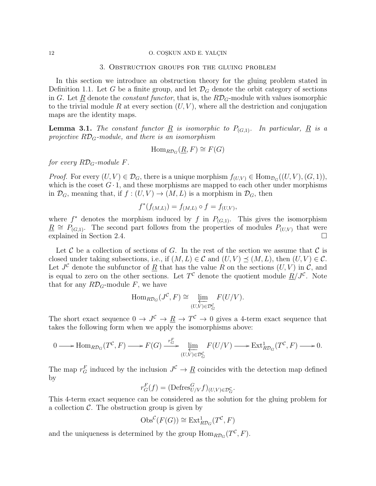#### 12 O. COŞKUN AND E. YALÇIN

## 3. Obstruction groups for the gluing problem

In this section we introduce an obstruction theory for the gluing problem stated in Definition 1.1. Let G be a finite group, and let  $\mathcal{D}_G$  denote the orbit category of sections in G. Let R denote the *constant functor*, that is, the  $R\mathcal{D}_G$ -module with values isomorphic to the trivial module R at every section  $(U, V)$ , where all the destriction and conjugation maps are the identity maps.

**Lemma 3.1.** The constant functor  $\underline{R}$  is isomorphic to  $P_{(G,1)}$ . In particular,  $\underline{R}$  is a projective  $R\mathcal{D}_G$ -module, and there is an isomorphism

$$
\operatorname{Hom}_{R\mathcal{D}_G}(\underline{R}, F) \cong F(G)
$$

for every  $R\mathcal{D}_G$ -module F.

*Proof.* For every  $(U, V) \in \mathcal{D}_G$ , there is a unique morphism  $f_{(U,V)} \in \text{Hom}_{\mathcal{D}_G}((U, V), (G, 1)),$ which is the coset  $G \cdot 1$ , and these morphisms are mapped to each other under morphisms in  $\mathcal{D}_G$ , meaning that, if  $f : (U, V) \to (M, L)$  is a morphism in  $\mathcal{D}_G$ , then

$$
f^*(f_{(M,L)}) = f_{(M,L)} \circ f = f_{(U,V)},
$$

where  $f^*$  denotes the morphism induced by f in  $P_{(G,1)}$ . This gives the isomorphism  $\underline{R} \cong P_{(G,1)}$ . The second part follows from the properties of modules  $P_{(U,V)}$  that were explained in Section 2.4.

Let C be a collection of sections of G. In the rest of the section we assume that C is closed under taking subsections, i.e., if  $(M, L) \in \mathcal{C}$  and  $(U, V) \preceq (M, L)$ , then  $(U, V) \in \mathcal{C}$ . Let  $J^{\mathcal{C}}$  denote the subfunctor of  $\underline{R}$  that has the value R on the sections  $(U, V)$  in  $\mathcal{C}$ , and is equal to zero on the other sections. Let  $T^{\mathcal{C}}$  denote the quotient module  $\underline{R}/J^{\mathcal{C}}$ . Note that for any  $R\mathcal{D}_G$ -module F, we have

$$
\mathrm{Hom}_{R\mathcal{D}_G}(J^{\mathcal{C}}, F) \cong \varprojlim_{(U,V)\in\mathcal{D}_G^{\mathcal{C}}} F(U/V).
$$

The short exact sequence  $0 \to J^{\mathcal{C}} \to \underline{R} \to T^{\mathcal{C}} \to 0$  gives a 4-term exact sequence that takes the following form when we apply the isomorphisms above:

$$
0 \longrightarrow \text{Hom}_{R\mathcal{D}_G}(T^{\mathcal{C}}, F) \longrightarrow F(G) \xrightarrow{r_G^F} \underleftarrow{\lim}_{(U,V)\in \mathcal{D}_G^{\mathcal{C}}} F(U/V) \longrightarrow \text{Ext}_{R\mathcal{D}_G}^1(T^{\mathcal{C}}, F) \longrightarrow 0.
$$

The map  $r_G^F$  induced by the inclusion  $J^C \to \underline{R}$  coincides with the detection map defined by

$$
r_G^F(f) = (\text{Defres}_{U/V}^G f)_{(U,V) \in \mathcal{D}_G^{\mathcal{C}}}.
$$

This 4-term exact sequence can be considered as the solution for the gluing problem for a collection  $\mathcal{C}$ . The obstruction group is given by

$$
\mathrm{Obs}^{\mathcal{C}}(F(G)) \cong \mathrm{Ext}^1_{R\mathcal{D}_G}(T^{\mathcal{C}}, F)
$$

and the uniqueness is determined by the group  $\text{Hom}_{R\mathcal{D}_G}(T^{\mathcal{C}},F)$ .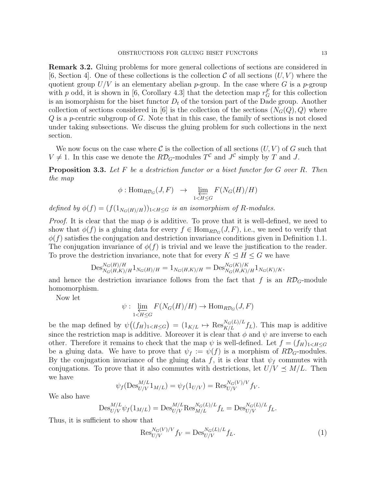Remark 3.2. Gluing problems for more general collections of sections are considered in  $[6, Section 4]$ . One of these collections is the collection C of all sections  $(U, V)$  where the quotient group  $U/V$  is an elementary abelian p-group. In the case where G is a p-group with p odd, it is shown in [6, Corollary 4.3] that the detection map  $r_G^F$  for this collection is an isomorphism for the biset functor  $D_t$  of the torsion part of the Dade group. Another collection of sections considered in [6] is the collection of the sections  $(N_G(Q), Q)$  where  $Q$  is a p-centric subgroup of  $G$ . Note that in this case, the family of sections is not closed under taking subsections. We discuss the gluing problem for such collections in the next section.

We now focus on the case where C is the collection of all sections  $(U, V)$  of G such that  $V \neq 1$ . In this case we denote the  $R\mathcal{D}_G$ -modules  $T^{\mathcal{C}}$  and  $J^{\mathcal{C}}$  simply by T and J.

**Proposition 3.3.** Let  $F$  be a destriction functor or a biset functor for  $G$  over  $R$ . Then the map

$$
\phi: \text{Hom}_{R\mathcal{D}_G}(J, F) \rightarrow \varprojlim_{1 \le H \le G} F(N_G(H)/H)
$$

defined by  $\phi(f) = (f(1_{N_G(H)/H}))_{1 \le H \le G}$  is an isomorphism of R-modules.

*Proof.* It is clear that the map  $\phi$  is additive. To prove that it is well-defined, we need to show that  $\phi(f)$  is a gluing data for every  $f \in \text{Hom}_{R\mathcal{D}_G}(J, F)$ , i.e., we need to verify that  $\phi(f)$  satisfies the conjugation and destriction invariance conditions given in Definition 1.1. The conjugation invariance of  $\phi(f)$  is trivial and we leave the justification to the reader. To prove the destriction invariance, note that for every  $K \leq H \leq G$  we have

$$
\mathrm{Des}_{N_G(H,K)/H}^{N_G(H)/H} 1_{N_G(H)/H} = 1_{N_G(H,K)/H} = \mathrm{Des}_{N_G(H,K)/H}^{N_G(K)/K} 1_{N_G(K)/K},
$$

and hence the destriction invariance follows from the fact that f is an  $R\mathcal{D}_G$ -module homomorphism.

Now let

$$
\psi: \varprojlim_{1 \le H \le G} F(N_G(H)/H) \to \text{Hom}_{R\mathcal{D}_G}(J, F)
$$

be the map defined by  $\psi((f_H)_{1 \le H \le G}) = (1_{K/L} \mapsto \text{Res}_{K/L}^{N_G(L)/L} f_L)$ . This map is additive since the restriction map is additive. Moreover it is clear that  $\phi$  and  $\psi$  are inverse to each other. Therefore it remains to check that the map  $\psi$  is well-defined. Let  $f = (f_H)_{1 \leq H \leq G}$ be a gluing data. We have to prove that  $\psi_f := \psi(f)$  is a morphism of  $R\mathcal{D}_G$ -modules. By the conjugation invariance of the gluing data f, it is clear that  $\psi_f$  commutes with conjugations. To prove that it also commutes with destrictions, let  $U/V \preceq M/L$ . Then we have

$$
\psi_f(\text{Des}_{U/V}^{M/L} 1_{M/L}) = \psi_f(1_{U/V}) = \text{Res}_{U/V}^{N_G(V)/V} f_V.
$$

We also have

$$
\mathrm{Des}_{U/V}^{M/L} \psi_f(1_{M/L}) = \mathrm{Des}_{U/V}^{M/L} \mathrm{Res}_{M/L}^{N_G(L)/L} f_L = \mathrm{Des}_{U/V}^{N_G(L)/L} f_L.
$$

Thus, it is sufficient to show that

$$
\text{Res}_{U/V}^{N_G(V)/V} f_V = \text{Des}_{U/V}^{N_G(L)/L} f_L.
$$
 (1)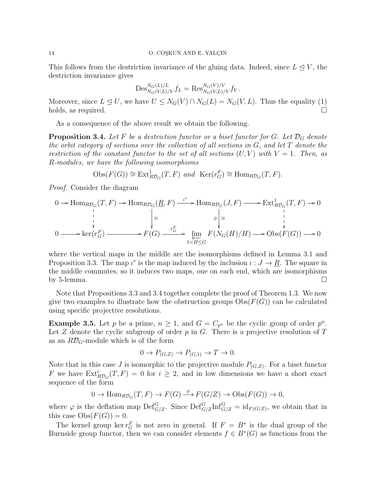This follows from the destriction invariance of the gluing data. Indeed, since  $L \leq V$ , the destriction invariance gives

$$
\mathrm{Des}_{N_G(V,L)/V}^{N_G(L)/L} f_L = \mathrm{Res}_{N_G(V,L)/V}^{N_G(V)/V} f_V.
$$

Moreover, since  $L \leq U$ , we have  $U \leq N_G(V) \cap N_G(L) = N_G(V, L)$ . Thus the equality (1) holds, as required.

As a consequence of the above result we obtain the following.

**Proposition 3.4.** Let F be a destriction functor or a biset functor for G. Let  $\mathcal{D}_G$  denote the orbit category of sections over the collection of all sections in  $G$ , and let  $T$  denote the restriction of the constant functor to the set of all sections  $(U, V)$  with  $V = 1$ . Then, as R-modules, we have the following isomorphisms

 $\text{Obs}(F(G)) \cong \text{Ext}^1_{R\mathcal{D}_G}(T, F)$  and  $\text{Ker}(r_G^F) \cong \text{Hom}_{R\mathcal{D}_G}(T, F)$ .

Proof. Consider the diagram

$$
0 \to \text{Hom}_{R\mathcal{D}_G}(T, F) \to \text{Hom}_{R\mathcal{D}_G}(\underline{R}, F) \xrightarrow{\iota^*} \text{Hom}_{R\mathcal{D}_G}(J, F) \longrightarrow \text{Ext}_{R\mathcal{D}_G}^1(T, F) \to 0
$$
\n
$$
\downarrow \qquad \qquad \downarrow \qquad \qquad \downarrow
$$
\n
$$
0 \longrightarrow \text{ker}(r_G^F) \xrightarrow{\mathbf{F}(G)} \xrightarrow{r_G^F} \text{lim}_{1 \le H \le G} F(N_G(H)/H) \longrightarrow \text{Obs}(F(G)) \longrightarrow 0
$$

where the vertical maps in the middle are the isomorphisms defined in Lemma 3.1 and Proposition 3.3. The map  $\iota^*$  is the map induced by the inclusion  $\iota: J \to \underline{R}$ . The square in the middle commutes, so it induces two maps, one on each end, which are isomorphisms by 5-lemma.  $\square$ 

Note that Propositions 3.3 and 3.4 together complete the proof of Theorem 1.3. We now give two examples to illustrate how the obstruction groups  $\mathrm{Obs}(F(G))$  can be calculated using specific projective resolutions.

**Example 3.5.** Let p be a prime,  $n \geq 1$ , and  $G = C_{p^n}$  be the cyclic group of order  $p^n$ . Let Z denote the cyclic subgroup of order  $p$  in G. There is a projective resolution of T as an  $R\mathcal{D}_G$ -module which is of the form

$$
0 \to P_{(G,Z)} \to P_{(G,1)} \to T \to 0.
$$

Note that in this case J is isomorphic to the projective module  $P_{(G,Z)}$ . For a biset functor F we have  $\text{Ext}_{R\mathcal{D}_G}^i(T, F) = 0$  for  $i \geq 2$ , and in low dimensions we have a short exact sequence of the form

$$
0 \to \text{Hom}_{R\mathcal{D}_G}(T, F) \to F(G) \xrightarrow{\varphi} F(G/Z) \to \text{Obs}(F(G)) \to 0,
$$

where  $\varphi$  is the deflation map  $\mathrm{Def}_{G/Z}^G$ . Since  $\mathrm{Def}_{G/Z}^G\mathrm{Inf}_{G/Z}^G = \mathrm{id}_{F(G/Z)}$ , we obtain that in this case  $Obs(F(G))=0$ .

The kernel group ker  $r_G^F$  is not zero in general. If  $F = B^*$  is the dual group of the Burnside group functor, then we can consider elements  $f \in B^*(G)$  as functions from the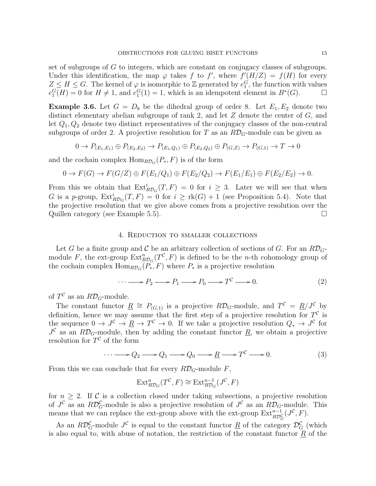set of subgroups of G to integers, which are constant on conjugacy classes of subgroups. Under this identification, the map  $\varphi$  takes f to f', where  $f'(H/Z) = f(H)$  for every  $Z \leq H \leq G$ . The kernel of  $\varphi$  is isomorphic to  $\mathbb Z$  generated by  $e_1^G$ , the function with values  $e_1^G(H) = 0$  for  $H \neq 1$ , and  $e_1^G(1) = 1$ , which is an idempotent element in  $B^*(G)$ .

**Example 3.6.** Let  $G = D_8$  be the dihedral group of order 8. Let  $E_1, E_2$  denote two distinct elementary abelian subgroups of rank 2, and let  $Z$  denote the center of  $G$ , and let  $Q_1, Q_2$  denote two distinct representatives of the conjugacy classes of the non-central subgroups of order 2. A projective resolution for T as an  $R\mathcal{D}_G$ -module can be given as

$$
0 \to P_{(E_1, E_1)} \oplus P_{(E_2, E_2)} \to P_{(E_1, Q_1)} \oplus P_{(E_2, Q_2)} \oplus P_{(G, Z)} \to P_{(G, 1)} \to T \to 0
$$

and the cochain complex  $\text{Hom}_{R\mathcal{D}_G}(P_*,F)$  is of the form

$$
0 \to F(G) \to F(G/Z) \oplus F(E_1/Q_1) \oplus F(E_2/Q_2) \to F(E_1/E_1) \oplus F(E_2/E_2) \to 0.
$$

From this we obtain that  $Ext^i_{R\mathcal{D}_G}(T, F) = 0$  for  $i \geq 3$ . Later we will see that when G is a p-group,  $\text{Ext}_{R\mathcal{D}_G}^i(T, F) = 0$  for  $i \geq \text{rk}(G) + 1$  (see Proposition 5.4). Note that the projective resolution that we give above comes from a projective resolution over the Quillen category (see Example 5.5).

## 4. Reduction to smaller collections

Let G be a finite group and C be an arbitrary collection of sections of G. For an  $R\mathcal{D}_{G}$ module F, the ext-group  $\text{Ext}^n_{R\mathcal{D}_G}(T^{\mathcal{C}},F)$  is defined to be the *n*-th cohomology group of the cochain complex  $\text{Hom}_{R\mathcal{D}_G}(P_*, F)$  where  $P_*$  is a projective resolution

$$
\cdots \longrightarrow P_2 \longrightarrow P_1 \longrightarrow P_0 \longrightarrow T^{\mathcal{C}} \longrightarrow 0. \tag{2}
$$

of  $T^{\mathcal{C}}$  as an  $R\mathcal{D}_G$ -module.

The constant functor  $\underline{R} \cong P_{(G,1)}$  is a projective  $R\mathcal{D}_G$ -module, and  $T^c = \underline{R}/J^c$  by definition, hence we may assume that the first step of a projective resolution for  $T^{\mathcal{C}}$  is the sequence  $0 \to J^c \to R \to T^c \to 0$ . If we take a projective resolution  $Q_* \to J^c$  for  $J^{\mathcal{C}}$  as an  $R\mathcal{D}_{G}$ -module, then by adding the constant functor  $\underline{R}$ , we obtain a projective resolution for  $T^{\mathcal{C}}$  of the form

$$
\cdots \longrightarrow Q_2 \longrightarrow Q_1 \longrightarrow Q_0 \longrightarrow \underline{R} \longrightarrow T^{\mathcal{C}} \longrightarrow 0. \tag{3}
$$

From this we can conclude that for every  $R\mathcal{D}_G$ -module F,

$$
\operatorname{Ext}^n_{R\mathcal{D}_G}(T^{\mathcal{C}},F)\cong \operatorname{Ext}^{n-1}_{R\mathcal{D}_G}(J^{\mathcal{C}},F)
$$

for  $n \geq 2$ . If C is a collection closed under taking subsections, a projective resolution of  $J^{\mathcal{C}}$  as an  $R\mathcal{D}_G^{\mathcal{C}}$ -module is also a projective resolution of  $J^{\mathcal{C}}$  as an  $R\mathcal{D}_G$ -module. This means that we can replace the ext-group above with the ext-group  $\text{Ext}_{R\mathcal{D}_G^{\mathcal{C}}}^{n-1}(J^{\mathcal{C}},F)$ .

As an  $R\mathcal{D}_G^{\mathcal{C}}$ -module  $J^{\mathcal{C}}$  is equal to the constant functor  $\underline{R}$  of the category  $\mathcal{D}_G^{\mathcal{C}}$  (which is also equal to, with abuse of notation, the restriction of the constant functor  $\underline{R}$  of the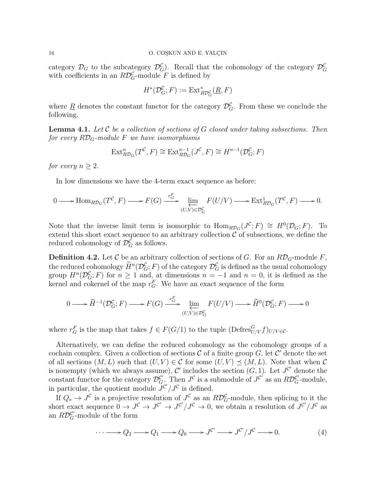category  $\mathcal{D}_G$  to the subcategory  $\mathcal{D}_G^{\mathcal{C}}$ . Recall that the cohomology of the category  $\mathcal{D}_G^{\mathcal{C}}$ with coefficients in an  $R\mathcal{D}_G^{\mathcal{C}}$ -module F is defined by

$$
H^*(\mathcal{D}_G^{\mathcal{C}}; F) := \operatorname{Ext}^*_{R\mathcal{D}_G^{\mathcal{C}}}(\underline{R}, F)
$$

where  $\underline{R}$  denotes the constant functor for the category  $\mathcal{D}_G^{\mathcal{C}}$ . From these we conclude the following.

**Lemma 4.1.** Let C be a collection of sections of G closed under taking subsections. Then for every  $R\mathcal{D}_G$ -module F we have isomorphisms

$$
\operatorname{Ext}^n_{R\mathcal{D}_G}(T^{\mathcal{C}}, F) \cong \operatorname{Ext}^{n-1}_{R\mathcal{D}_G}(J^{\mathcal{C}}, F) \cong H^{n-1}(\mathcal{D}_G^{\mathcal{C}}; F)
$$

for every  $n \geq 2$ .

In low dimensions we have the 4-term exact sequence as before:

$$
0 \longrightarrow \text{Hom}_{R\mathcal{D}_G}(T^{\mathcal{C}}, F) \longrightarrow F(G) \xrightarrow{r_G^F} \underleftarrow{\lim}_{(U,V)\in\mathcal{D}_G^{\mathcal{C}}} F(U/V) \longrightarrow \text{Ext}_{R\mathcal{D}_G}^1(T^{\mathcal{C}}, F) \longrightarrow 0.
$$

Note that the inverse limit term is isomorphic to  $\text{Hom}_{R\mathcal{D}_G}(J^{\mathcal{C}};F) \cong H^0(\mathcal{D}_G;F)$ . To extend this short exact sequence to an arbitrary collection  $\mathcal C$  of subsections, we define the reduced cohomology of  $\mathcal{D}_G^{\mathcal{C}}$  as follows.

**Definition 4.2.** Let C be an arbitrary collection of sections of G. For an  $R\mathcal{D}_G$ -module F, the reduced cohomology  $\tilde{H}^n(\mathcal{D}_G^{\mathcal{C}}; F)$  of the category  $\mathcal{D}_G^{\mathcal{C}}$  is defined as the usual cohomology group  $H^n(\mathcal{D}_G^{\mathcal{C}}; F)$  for  $n \geq 1$  and, at dimensions  $n = -1$  and  $n = 0$ , it is defined as the kernel and cokernel of the map  $r_G^F$ . We have an exact sequence of the form

$$
0 \longrightarrow \widetilde{H}^{-1}(\mathcal{D}_G^{\mathcal{C}}; F) \longrightarrow F(G) \xrightarrow{r_G^F} \varprojlim_{(U,V)\in\mathcal{D}_G^{\mathcal{C}}} F(U/V) \longrightarrow \widetilde{H}^0(\mathcal{D}_G^{\mathcal{C}}; F) \longrightarrow 0
$$

where  $r_G^F$  is the map that takes  $f \in F(G/1)$  to the tuple  $(\text{Defres}_{U/V}^G f)_{U/V \in \mathcal{C}}$ .

Alternatively, we can define the reduced cohomology as the cohomology groups of a cochain complex. Given a collection of sections  $\mathcal C$  of a finite group  $G$ , let  $\mathcal C'$  denote the set of all sections  $(M, L)$  such that  $(U, V) \in \mathcal{C}$  for some  $(U, V) \prec (M, L)$ . Note that when  $\mathcal{C}$ is nonempty (which we always assume), C' includes the section  $(G, 1)$ . Let  $J^{\mathcal{C}'}$  denote the constant functor for the category  $\mathcal{D}_G^{\mathcal{C}'}$ . Then  $J^{\mathcal{C}}$  is a submodule of  $J^{\mathcal{C}'}$  as an  $R\mathcal{D}_G^{\mathcal{C}'}$ -module, in particular, the quotient module  $J^{\mathcal{C}}/J^{\mathcal{C}}$  is defined.

If  $Q_* \to J^c$  is a projective resolution of  $J^c$  as an  $R\mathcal{D}_G^c$ -module, then splicing to it the short exact sequence  $0 \to J^c \to J^{c'} \to J^{c'}/J^c \to 0$ , we obtain a resolution of  $J^{c'}/J^c$  as an  $R\mathcal{D}_G^{\mathcal{C}'}$ -module of the form

$$
\cdots \longrightarrow Q_2 \longrightarrow Q_1 \longrightarrow Q_0 \longrightarrow J^{\mathcal{C}'} \longrightarrow J^{\mathcal{C}'}/J^{\mathcal{C}} \longrightarrow 0. \tag{4}
$$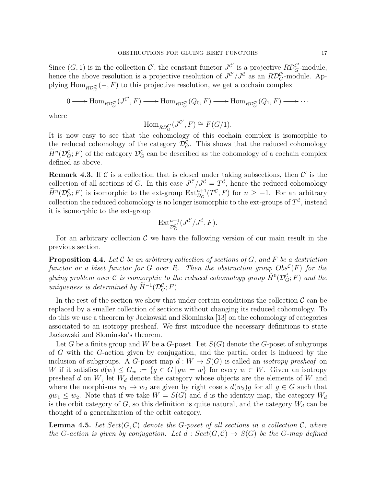Since  $(G, 1)$  is in the collection  $\mathcal{C}'$ , the constant functor  $J^{\mathcal{C}'}$  is a projective  $R\mathcal{D}_G^{\mathcal{C}'}$ -module, hence the above resolution is a projective resolution of  $J^{\mathcal{C}}/J^{\mathcal{C}}$  as an  $R\mathcal{D}_{G}^{\mathcal{C}}$ -module. Applying  $\text{Hom}_{R\mathcal{D}_G^{\mathcal{C}'}}(-, F)$  to this projective resolution, we get a cochain complex

$$
0 \longrightarrow \text{Hom}_{R\mathcal{D}_G^{C'}}(J^{C'}, F) \longrightarrow \text{Hom}_{R\mathcal{D}_G^{C'}}(Q_0, F) \longrightarrow \text{Hom}_{R\mathcal{D}_G^{C'}}(Q_1, F) \longrightarrow \cdots
$$

where

$$
\mathrm{Hom}_{R\mathcal{D}_G^{C'}}(J^{\mathcal{C}'},F) \cong F(G/1).
$$

It is now easy to see that the cohomology of this cochain complex is isomorphic to the reduced cohomology of the category  $\mathcal{D}_G^{\mathcal{C}}$ . This shows that the reduced cohomology  $\widetilde{H}^n(\mathcal{D}_G^{\mathcal{C}}; F)$  of the category  $\mathcal{D}_G^{\mathcal{C}}$  can be described as the cohomology of a cochain complex defined as above.

**Remark 4.3.** If  $\mathcal{C}$  is a collection that is closed under taking subsections, then  $\mathcal{C}'$  is the collection of all sections of G. In this case  $J^{\mathcal{C}}/J^{\mathcal{C}} = T^{\mathcal{C}}$ , hence the reduced cohomology  $\widetilde{H}^n(\mathcal{D}_G^{\mathcal{C}};F)$  is isomorphic to the ext-group  $\text{Ext}^{n+1}_{\mathcal{D}_G}(T^{\mathcal{C}},F)$  for  $n \geq -1$ . For an arbitrary collection the reduced cohomology is no longer isomorphic to the ext-groups of  $T^{\mathcal{C}}$ , instead it is isomorphic to the ext-group

$$
\mathrm{Ext}^{n+1}_{\mathcal{D}_G^{C'}}(J^{C'}/J^{\mathcal{C}},F).
$$

For an arbitrary collection  $\mathcal C$  we have the following version of our main result in the previous section.

**Proposition 4.4.** Let  $\mathcal C$  be an arbitrary collection of sections of  $G$ , and  $F$  be a destriction functor or a biset functor for G over R. Then the obstruction group  $Obs^{\mathcal{C}}(F)$  for the gluing problem over C is isomorphic to the reduced cohomology group  $\widetilde{H}^0(\mathcal{D}_G^{\mathcal{C}}; F)$  and the uniqueness is determined by  $\widetilde{H}^{-1}(\mathcal{D}_G^{\mathcal{C}}; F)$ .

In the rest of the section we show that under certain conditions the collection  $\mathcal C$  can be replaced by a smaller collection of sections without changing its reduced cohomology. To do this we use a theorem by Jackowski and Slominska [13] on the cohomology of categories associated to an isotropy presheaf. We first introduce the necessary definitions to state Jackowski and Slominska's theorem.

Let G be a finite group and W be a G-poset. Let  $S(G)$  denote the G-poset of subgroups of G with the G-action given by conjugation, and the partial order is induced by the inclusion of subgroups. A G-poset map  $d: W \to S(G)$  is called an *isotropy presheaf* on W if it satisfies  $d(w) \leq G_w := \{g \in G \mid gw = w\}$  for every  $w \in W$ . Given an isotropy presheaf d on  $W$ , let  $W_d$  denote the category whose objects are the elements of  $W$  and where the morphisms  $w_1 \to w_2$  are given by right cosets  $d(w_2)g$  for all  $g \in G$  such that  $gw_1 \leq w_2$ . Note that if we take  $W = S(G)$  and d is the identity map, the category  $W_d$ is the orbit category of  $G$ , so this definition is quite natural, and the category  $W_d$  can be thought of a generalization of the orbit category.

**Lemma 4.5.** Let  $Sect(G, \mathcal{C})$  denote the G-poset of all sections in a collection  $\mathcal{C}$ , where the G-action is given by conjugation. Let  $d : Sect(G, \mathcal{C}) \to S(G)$  be the G-map defined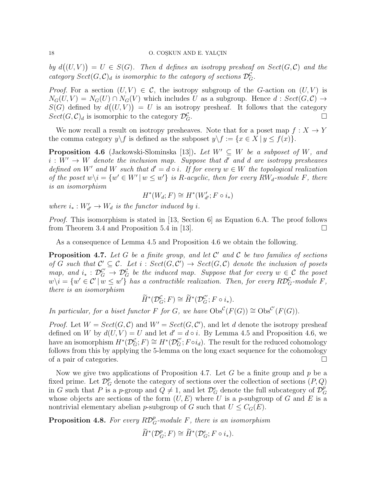by  $d((U, V)) = U \in S(G)$ . Then d defines an isotropy presheaf on  $Sect(G, \mathcal{C})$  and the category  $Sect(G, \mathcal{C})_d$  is isomorphic to the category of sections  $\mathcal{D}_G^{\mathcal{C}}$ .

*Proof.* For a section  $(U, V) \in \mathcal{C}$ , the isotropy subgroup of the G-action on  $(U, V)$  is  $N_G(U, V) = N_G(U) \cap N_G(V)$  which includes U as a subgroup. Hence  $d : Sect(G, \mathcal{C}) \rightarrow$  $S(G)$  defined by  $d((U, V)) = U$  is an isotropy presheaf. It follows that the category  $Sect(G,\mathcal{C})_d$  is isomorphic to the category  $\mathcal{D}_G^{\mathcal{C}}$ . <sup>G</sup>.

We now recall a result on isotropy presheaves. Note that for a poset map  $f: X \to Y$ the comma category  $y \backslash f$  is defined as the subposet  $y \backslash f := \{x \in X \mid y \leq f(x)\}.$ 

**Proposition 4.6** (Jackowski-Slominska [13]). Let  $W' \subseteq W$  be a subposet of W, and  $i: W' \to W$  denote the inclusion map. Suppose that d' and d are isotropy presheaves defined on W' and W such that  $d' = d \circ i$ . If for every  $w \in W$  the topological realization of the poset  $w \setminus i = \{w' \in W' \mid w \leq w'\}$  is R-acyclic, then for every  $RW_d$ -module F, there is an isomorphism

$$
H^*(W_d; F) \cong H^*(W'_{d'}; F \circ i_*)
$$

where  $i_* : W'_{d'} \to W_d$  is the functor induced by i.

*Proof.* This isomorphism is stated in [13, Section 6] as Equation 6.A. The proof follows from Theorem 3.4 and Proposition 5.4 in [13].  $\Box$ 

As a consequence of Lemma 4.5 and Proposition 4.6 we obtain the following.

**Proposition 4.7.** Let G be a finite group, and let  $\mathcal{C}'$  and  $\mathcal{C}$  be two families of sections of G such that  $\mathcal{C}' \subseteq \mathcal{C}$ . Let  $i : Sect(G, \mathcal{C}') \rightarrow Sect(G, \mathcal{C})$  denote the inclusion of posets map, and  $i_* : \mathcal{D}_G^{\mathcal{C}} \to \mathcal{D}_G^{\mathcal{C}}$  be the induced map. Suppose that for every  $w \in \mathcal{C}$  the poset  $w\setminus i=\{w'\in\mathcal{C}'\,|\, w\leq w'\}$  has a contractible realization. Then, for every  $R\mathcal{D}_G^{\mathcal{C}}$ -module F, there is an isomorphism

$$
\widetilde{H}^*(\mathcal{D}_G^{\mathcal{C}}; F) \cong \widetilde{H}^*(\mathcal{D}_G^{\mathcal{C}}; F \circ i_*).
$$

In particular, for a biset functor F for G, we have  $\mathrm{Obs}^{\mathcal{C}}(F(G)) \cong \mathrm{Obs}^{\mathcal{C}'}(F(G)).$ 

*Proof.* Let  $W = Sect(G, \mathcal{C})$  and  $W' = Sect(G, \mathcal{C}'),$  and let d denote the isotropy presheaf defined on W by  $d(U, V) = U$  and let  $d' = d \circ i$ . By Lemma 4.5 and Proposition 4.6, we have an isomorphism  $H^*(\mathcal{D}_G^{\mathcal{C}}; F) \cong H^*(\mathcal{D}_G^{\mathcal{C}}; F \circ i_d)$ . The result for the reduced cohomology follows from this by applying the 5-lemma on the long exact sequence for the cohomology of a pair of categories.

Now we give two applications of Proposition 4.7. Let  $G$  be a finite group and  $p$  be a fixed prime. Let  $\mathcal{D}_{G}^{p}$  denote the category of sections over the collection of sections  $(P,Q)$ in G such that P is a p-group and  $Q \neq 1$ , and let  $\mathcal{D}_{G}^{e}$  denote the full subcategory of  $\mathcal{D}_{G}^{p}$ G whose objects are sections of the form  $(U, E)$  where U is a p-subgroup of G and E is a nontrivial elementary abelian p-subgroup of G such that  $U \leq C_G(E)$ .

**Proposition 4.8.** For every  $R\mathcal{D}_G^p$ -module F, there is an isomorphism

$$
\widetilde{H}^*(\mathcal{D}_G^p; F) \cong \widetilde{H}^*(\mathcal{D}_G^e; F \circ i_*).
$$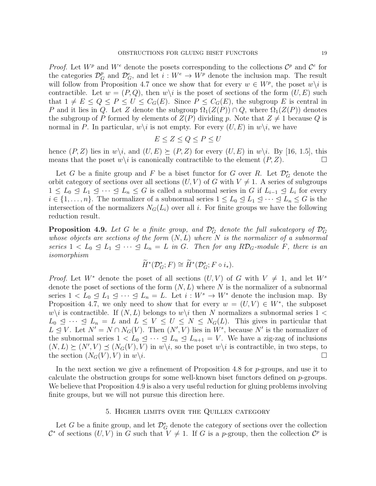*Proof.* Let  $W^p$  and  $W^e$  denote the posets corresponding to the collections  $\mathcal{C}^p$  and  $\mathcal{C}^e$  for the categories  $\mathcal{D}_{G}^{p}$  and  $\mathcal{D}_{G}^{e}$ , and let  $i: W^{e} \to W^{p}$  denote the inclusion map. The result will follow from Proposition 4.7 once we show that for every  $w \in W^p$ , the poset  $w \setminus i$  is contractible. Let  $w = (P,Q)$ , then  $w \setminus i$  is the poset of sections of the form  $(U, E)$  such that  $1 \neq E \leq Q \leq P \leq U \leq C_G(E)$ . Since  $P \leq C_G(E)$ , the subgroup E is central in P and it lies in Q. Let Z denote the subgroup  $\Omega_1(Z(P)) \cap Q$ , where  $\Omega_1(Z(P))$  denotes the subgroup of P formed by elements of  $Z(P)$  dividing p. Note that  $Z \neq 1$  because Q is normal in P. In particular,  $w\backslash i$  is not empty. For every  $(U, E)$  in  $w\backslash i$ , we have

$$
E \leq Z \leq Q \leq P \leq U
$$

hence  $(P, Z)$  lies in  $w \setminus i$ , and  $(U, E) \succeq (P, Z)$  for every  $(U, E)$  in  $w \setminus i$ . By [16, 1.5], this means that the poset  $w\backslash i$  is canonically contractible to the element  $(P, Z)$ .

Let G be a finite group and F be a biset functor for G over R. Let  $\mathcal{D}_{G}^{*}$  denote the orbit category of sections over all sections  $(U, V)$  of G with  $V \neq 1$ . A series of subgroups  $1 \leq L_0 \leq L_1 \leq \cdots \leq L_n \leq G$  is called a subnormal series in G if  $L_{i-1} \leq L_i$  for every  $i \in \{1, \ldots, n\}$ . The normalizer of a subnormal series  $1 \leq L_0 \leq L_1 \leq \cdots \leq L_n \leq G$  is the intersection of the normalizers  $N_G(L_i)$  over all i. For finite groups we have the following reduction result.

**Proposition 4.9.** Let G be a finite group, and  $\mathcal{D}_G^s$  denote the full subcategory of  $\mathcal{D}_G^*$ whose objects are sections of the form  $(N, L)$  where N is the normalizer of a subnormal series  $1 < L_0 \leq L_1 \leq \cdots \leq L_n = L$  in G. Then for any RD<sub>G</sub>-module F, there is an isomorphism

$$
\widetilde{H}^*(\mathcal{D}_G^*; F) \cong \widetilde{H}^*(\mathcal{D}_G^s; F \circ i_*).
$$

*Proof.* Let  $W^*$  denote the poset of all sections  $(U, V)$  of G with  $V \neq 1$ , and let  $W^s$ denote the poset of sections of the form  $(N, L)$  where N is the normalizer of a subnormal series  $1 < L_0 \leq L_1 \leq \cdots \leq L_n = L$ . Let  $i : W^s \to W^*$  denote the inclusion map. By Proposition 4.7, we only need to show that for every  $w = (U, V) \in W^*$ , the subposet  $w\backslash i$  is contractible. If  $(N, L)$  belongs to  $w\backslash i$  then N normalizes a subnormal series  $1 <$  $L_0 \leq \cdots \leq L_n = L$  and  $L \leq V \leq U \leq N \leq N_G(L)$ . This gives in particular that  $L \leq V$ . Let  $N' = N \cap N_G(V)$ . Then  $(N', V)$  lies in  $W^s$ , because N' is the normalizer of the subnormal series  $1 < L_0 \leq \cdots \leq L_n \leq L_{n+1} = V$ . We have a zig-zag of inclusions  $(N, L) \succeq (N', V) \preceq (N_G(V), V)$  in  $w \setminus i$ , so the poset  $w \setminus i$  is contractible, in two steps, to the section  $(N_G(V), V)$  in  $w \backslash i$ .

In the next section we give a refinement of Proposition 4.8 for p-groups, and use it to calculate the obstruction groups for some well-known biset functors defined on  $p$ -groups. We believe that Proposition 4.9 is also a very useful reduction for gluing problems involving finite groups, but we will not pursue this direction here.

## 5. Higher limits over the Quillen category

Let G be a finite group, and let  $\mathcal{D}_{G}^{*}$  denote the category of sections over the collection  $\mathcal{C}^*$  of sections  $(U, V)$  in G such that  $V \neq 1$ . If G is a p-group, then the collection  $\mathcal{C}^p$  is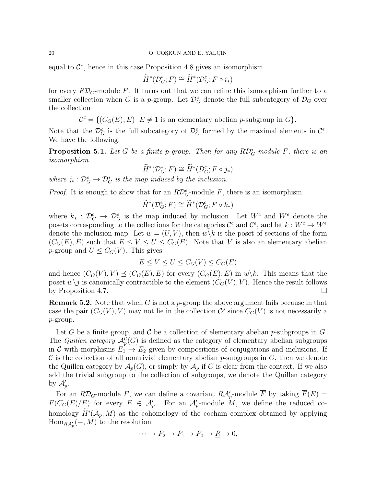equal to  $\mathcal{C}^*$ , hence in this case Proposition 4.8 gives an isomorphism

$$
\widetilde{H}^*(\mathcal{D}_G^*; F) \cong \widetilde{H}^*(\mathcal{D}_G^e; F \circ i_*)
$$

for every  $R\mathcal{D}_G$ -module F. It turns out that we can refine this isomorphism further to a smaller collection when G is a p-group. Let  $\mathcal{D}_G^c$  denote the full subcategory of  $\mathcal{D}_G$  over the collection

 $\mathcal{C}^c = \{ (C_G(E), E) | E \neq 1 \text{ is an elementary abelian } p\text{-subgroup in } G \}.$ 

Note that the  $\mathcal{D}_G^c$  is the full subcategory of  $\mathcal{D}_G^e$  formed by the maximal elements in  $\mathcal{C}^e$ . We have the following.

**Proposition 5.1.** Let G be a finite p-group. Then for any  $R\mathcal{D}_G^*$ -module F, there is an isomorphism

$$
\widetilde{H}^*(\mathcal{D}_G^*; F) \cong \widetilde{H}^*(\mathcal{D}_G^c; F \circ j_*)
$$

where  $j_* : \mathcal{D}_G^c \to \mathcal{D}_G^*$  is the map induced by the inclusion.

*Proof.* It is enough to show that for an  $R\mathcal{D}_G^e$ -module F, there is an isomorphism

$$
\widetilde{H}^*(\mathcal{D}_G^e; F) \cong \widetilde{H}^*(\mathcal{D}_G^e; F \circ k_*)
$$

where  $k_* : \mathcal{D}_G^c \to \mathcal{D}_G^e$  is the map induced by inclusion. Let  $W^c$  and  $W^e$  denote the posets corresponding to the collections for the categories  $\mathcal{C}^c$  and  $\mathcal{C}^e$ , and let  $k: W^c \to W^e$ denote the inclusion map. Let  $w = (U, V)$ , then  $w \backslash k$  is the poset of sections of the form  $(C_G(E), E)$  such that  $E \leq V \leq U \leq C_G(E)$ . Note that V is also an elementary abelian p-group and  $U \leq C_G(V)$ . This gives

$$
E \le V \le U \le C_G(V) \le C_G(E)
$$

and hence  $(C_G(V), V) \preceq (C_G(E), E)$  for every  $(C_G(E), E)$  in  $w \backslash k$ . This means that the poset  $w \setminus j$  is canonically contractible to the element  $(C_G(V), V)$ . Hence the result follows by Proposition 4.7.

**Remark 5.2.** Note that when G is not a p-group the above argument fails because in that case the pair  $(C_G(V), V)$  may not lie in the collection  $\mathcal{C}^p$  since  $C_G(V)$  is not necessarily a p-group.

Let G be a finite group, and C be a collection of elementary abelian p-subgroups in  $G$ . The *Quillen category*  $\mathcal{A}_{p}^{\mathcal{C}}(G)$  is defined as the category of elementary abelian subgroups in C with morphisms  $E_1 \rightarrow E_2$  given by compositions of conjugations and inclusions. If  $\mathcal C$  is the collection of all nontrivial elementary abelian p-subgroups in  $G$ , then we denote the Quillen category by  $\mathcal{A}_p(G)$ , or simply by  $\mathcal{A}_p$  if G is clear from the context. If we also add the trivial subgroup to the collection of subgroups, we denote the Quillen category by  $\mathcal{A}'_p$ .

For an  $R\mathcal{D}_G$ -module F, we can define a covariant  $R\mathcal{A}'_p$ -module  $\overline{F}$  by taking  $\overline{F}(E)$  =  $F(C_G(E)/E)$  for every  $E \in \mathcal{A}'_p$ . For an  $\mathcal{A}'_p$ -module M, we define the reduced cohomology  $H^i(\mathcal{A}_p; M)$  as the cohomology of the cochain complex obtained by applying  $\operatorname{Hom}_{R\mathcal{A}'_p}(-,M)$  to the resolution

$$
\cdots \to P_2 \to P_1 \to P_0 \to \underline{R} \to 0,
$$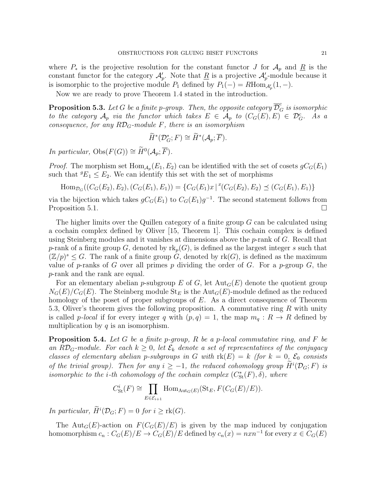where  $P_*$  is the projective resolution for the constant functor J for  $\mathcal{A}_p$  and  $\underline{R}$  is the constant functor for the category  $\mathcal{A}'_p$ . Note that  $\underline{R}$  is a projective  $\mathcal{A}'_p$ -module because it is isomorphic to the projective module  $P_1$  defined by  $P_1(-) = R \text{Hom}_{\mathcal{A}_p'}(1, -)$ .

Now we are ready to prove Theorem 1.4 stated in the introduction.

**Proposition 5.3.** Let  $G$  be a finite p-group. Then, the opposite category  $\overline{\mathcal{D}}_G^c$  is isomorphic to the category  $\mathcal{A}_p$  via the functor which takes  $E \in \mathcal{A}_p$  to  $(C_G(E), E) \in \mathcal{D}_G^c$ . As a consequence, for any  $R\mathcal{D}_G$ -module F, there is an isomorphism

$$
\widetilde{H}^*(\mathcal{D}_G^*; F) \cong \widetilde{H}^*(\mathcal{A}_p; \overline{F}).
$$

In particular,  $\text{Obs}(F(G)) \cong \widetilde{H}^0(\mathcal{A}_p; \overline{F}).$ 

*Proof.* The morphism set  $\text{Hom}_{\mathcal{A}_p}(E_1, E_2)$  can be identified with the set of cosets  $gC_G(E_1)$ such that  ${}^gE_1 \leq E_2$ . We can identify this set with the set of morphisms

Hom<sub>DG</sub>
$$
((C_G(E_2), E_2), (C_G(E_1), E_1)) = {C_G(E_1)x | ^x(C_G(E_2), E_2) \preceq (C_G(E_1), E_1)}
$$

via the bijection which takes  $gC_G(E_1)$  to  $C_G(E_1)g^{-1}$ . The second statement follows from Proposition 5.1.  $\Box$ 

The higher limits over the Quillen category of a finite group  $G$  can be calculated using a cochain complex defined by Oliver [15, Theorem 1]. This cochain complex is defined using Steinberg modules and it vanishes at dimensions above the  $p$ -rank of  $G$ . Recall that p-rank of a finite group G, denoted by  $\text{rk}_p(G)$ , is defined as the largest integer s such that  $(\mathbb{Z}/p)^s \leq G$ . The rank of a finite group G, denoted by rk(G), is defined as the maximum value of p-ranks of G over all primes p dividing the order of G. For a p-group  $G$ , the p-rank and the rank are equal.

For an elementary abelian p-subgroup E of G, let  $Aut_G(E)$  denote the quotient group  $N_G(E)/C_G(E)$ . The Steinberg module  $St_E$  is the Aut<sub>G</sub> $(E)$ -module defined as the reduced homology of the poset of proper subgroups of E. As a direct consequence of Theorem 5.3, Oliver's theorem gives the following proposition. A commutative ring  $R$  with unity is called p-local if for every integer q with  $(p,q) = 1$ , the map  $m_q : R \to R$  defined by multiplication by  $q$  is an isomorphism.

**Proposition 5.4.** Let G be a finite p-group, R be a p-local commutative ring, and F be an RD<sub>G</sub>-module. For each  $k \geq 0$ , let  $\mathcal{E}_k$  denote a set of representatives of the conjugacy classes of elementary abelian p-subgroups in G with  $rk(E) = k$  (for  $k = 0$ ,  $\mathcal{E}_0$  consists of the trivial group). Then for any  $i \geq -1$ , the reduced cohomology group  $\tilde{H}^i(\mathcal{D}_G; F)$  is isomorphic to the *i*-th cohomology of the cochain complex  $(C^*_{\text{St}}(F), \delta)$ , where

$$
C_{\mathrm{St}}^{i}(F) \cong \prod_{E \in \mathcal{E}_{i+1}} \mathrm{Hom}_{\mathrm{Aut}_{G}(E)}(\mathrm{St}_{E}, F(C_{G}(E)/E)).
$$

In particular,  $\widetilde{H}^i(\mathcal{D}_G; F) = 0$  for  $i \geq \text{rk}(G)$ .

The Aut<sub>G</sub>(E)-action on  $F(C_G(E)/E)$  is given by the map induced by conjugation homomorphism  $c_n : C_G(E)/E \to C_G(E)/E$  defined by  $c_n(x) = nxn^{-1}$  for every  $x \in C_G(E)$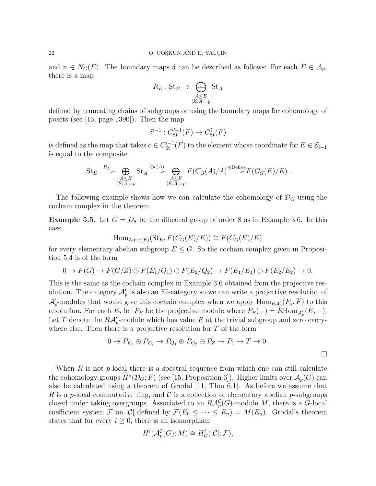and  $n \in N_G(E)$ . The boundary maps  $\delta$  can be described as follows: For each  $E \in \mathcal{A}_p$ , there is a map

$$
R_E: \mathbf{St}_E \to \bigoplus_{\substack{A \le E \\ [E:A]=p}} \mathbf{St}_A
$$

defined by truncating chains of subgroups or using the boundary maps for cohomology of posets (see [15, page 1390]). Then the map

$$
\delta^{i-1}: C_{\mathrm{St}}^{i-1}(F) \to C_{\mathrm{St}}^{i}(F)
$$

is defined as the map that takes  $c \in C^{i-1}_{\text{St}}(F)$  to the element whose coordinate for  $E \in \mathcal{E}_{i+1}$ is equal to the composite

St<sub>E</sub> 
$$
\xrightarrow{R_E}
$$
  $\bigoplus_{\substack{A \leq E \\ [E:A]=p}} \text{St}_A \xrightarrow{\oplus c(A)} \bigoplus_{\substack{A \leq E \\ [E:A]=p}} F(C_G(A)/A) \xrightarrow{\oplus \text{Defres}} F(C_G(E)/E).$ 

The following example shows how we can calculate the cohomology of  $\mathcal{D}_G$  using the cochain complex in the theorem.

**Example 5.5.** Let  $G = D_8$  be the dihedral group of order 8 as in Example 3.6. In this case

$$
\mathrm{Hom}_{\mathrm{Aut}_G(E)}(\mathrm{St}_E, F(C_G(E)/E)) \cong F(C_G(E)/E)
$$

for every elementary abelian subgroup  $E \leq G$ . So the cochain complex given in Proposition 5.4 is of the form

$$
0 \to F(G) \to F(G/Z) \oplus F(E_1/Q_1) \oplus F(E_2/Q_2) \to F(E_1/E_1) \oplus F(E_2/E_2) \to 0.
$$

This is the same as the cochain complex in Example 3.6 obtained from the projective resolution. The category  $\mathcal{A}'_p$  is also an EI-category so we can write a projective resolution of  $\mathcal{A}'_p$ -modules that would give this cochain complex when we apply  $\text{Hom}_{R\mathcal{A}'_p}(P_*, \overline{F})$  to this resolution. For each E, let  $P_E$  be the projective module where  $P_E(-) = R \text{Hom}_{\mathcal{A}'_p}(E, -)$ . Let T denote the  $R\mathcal{A}'_p$ -module which has value R at the trivial subgroup and zero everywhere else. Then there is a projective resolution for  $T$  of the form

$$
0 \to P_{E_1} \oplus P_{E_2} \to P_{Q_1} \oplus P_{Q_2} \oplus P_Z \to P_1 \to T \to 0.
$$

When  $R$  is not p-local there is a spectral sequence from which one can still calculate the cohomology groups  $\tilde{H}^*(\mathcal{D}_G; F)$  (see [15, Proposition 6]). Higher limits over  $\mathcal{A}_p(G)$  can also be calculated using a theorem of Grodal [11, Thm 6.1]. As before we assume that R is a p-local commutative ring, and C is a collection of elementary abelian p-subgroups closed under taking overgroups. Associated to an  $R\mathcal{A}_{p}^{\mathcal{C}}(G)$ -module M, there is a G-local coefficient system F on  $|\mathcal{C}|$  defined by  $\mathcal{F}(E_0 \leq \cdots \leq E_n) = M(E_n)$ . Grodal's theorem states that for every  $i \geq 0$ , there is an isomorphism

$$
H^i(\mathcal{A}_p^{\mathcal{C}}(G);M)\cong H^i_G(|\mathcal{C}|;\mathcal{F}),
$$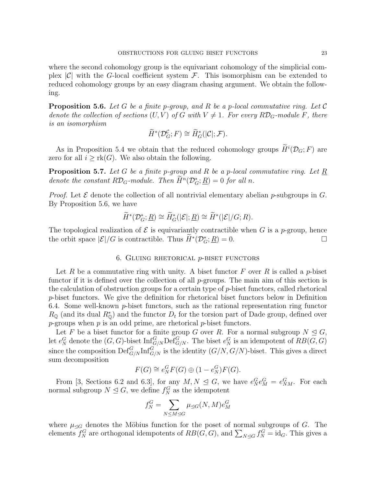where the second cohomology group is the equivariant cohomology of the simplicial complex  $|\mathcal{C}|$  with the G-local coefficient system  $\mathcal{F}$ . This isomorphism can be extended to reduced cohomology groups by an easy diagram chasing argument. We obtain the following.

**Proposition 5.6.** Let G be a finite p-group, and R be a p-local commutative ring. Let C denote the collection of sections  $(U, V)$  of G with  $V \neq 1$ . For every  $R\mathcal{D}_G$ -module F, there is an isomorphism

$$
\widetilde{H}^*(\mathcal{D}_G^{\mathcal{C}}; F) \cong \widetilde{H}^*_G(|\mathcal{C}|; \mathcal{F}).
$$

As in Proposition 5.4 we obtain that the reduced cohomology groups  $\widetilde{H}^i(\mathcal{D}_G; F)$  are zero for all  $i \geq \text{rk}(G)$ . We also obtain the following.

**Proposition 5.7.** Let G be a finite p-group and R be a p-local commutative ring. Let  $\underline{R}$ denote the constant  $R\mathcal{D}_G$ -module. Then  $\widetilde{H}^n(\mathcal{D}_G^*; \underline{R}) = 0$  for all n.

*Proof.* Let  $\mathcal E$  denote the collection of all nontrivial elementary abelian p-subgroups in  $G$ . By Proposition 5.6, we have

$$
\widetilde{H}^*(\mathcal{D}_G^*\,;\underline{R})\cong \widetilde{H}^*_G(|\mathcal{E}|;\underline{R})\cong \widetilde{H}^*(|\mathcal{E}|/G;R).
$$

The topological realization of  $\mathcal E$  is equivariantly contractible when G is a p-group, hence the orbit space  $|\mathcal{E}|/G$  is contractible. Thus  $\widetilde{H}^*(\mathcal{D}_G^*; \underline{R}) = 0$ .

## 6. GLUING RHETORICAL  $p$ -BISET FUNCTORS

Let R be a commutative ring with unity. A biset functor  $F$  over R is called a p-biset functor if it is defined over the collection of all  $p$ -groups. The main aim of this section is the calculation of obstruction groups for a certain type of  $p$ -biset functors, called rhetorical p-biset functors. We give the definition for rhetorical biset functors below in Definition 6.4. Some well-known p-biset functors, such as the rational representation ring functor  $R_{\mathbb{Q}}$  (and its dual  $R_{\mathbb{Q}}^{*}$ ) and the functor  $D_t$  for the torsion part of Dade group, defined over  $p$ -groups when  $p$  is an odd prime, are rhetorical  $p$ -biset functors.

Let F be a biset functor for a finite group G over R. For a normal subgroup  $N \trianglelefteq G$ , let  $e_N^G$  denote the  $(G, G)$ -biset  $\text{Inf}_{G/N}^G \text{Def}_{G/N}^G$ . The biset  $e_N^G$  is an idempotent of  $RB(G, G)$ since the composition  $\mathrm{Def}_{G/N}^G \mathrm{Inf}_{G/N}^G$  is the identity  $(G/N, G/N)$ -biset. This gives a direct sum decomposition

$$
F(G) \cong e_N^G F(G) \oplus (1 - e_N^G)F(G).
$$

From [3, Sections 6.2 and 6.3], for any  $M, N \leq G$ , we have  $e_N^G e_M^G = e_{NM}^G$ . For each normal subgroup  $N \leq G$ , we define  $f_N^G$  as the idempotent

$$
f_N^G = \sum_{N \le M \le G} \mu_{\le G}(N, M) e_M^G
$$

where  $\mu_{\leq G}$  denotes the Möbius function for the poset of normal subgroups of G. The elements  $f_N^G$  are orthogonal idempotents of  $RB(G, G)$ , and  $\sum_{N \trianglelefteq G} f_N^G = id_G$ . This gives a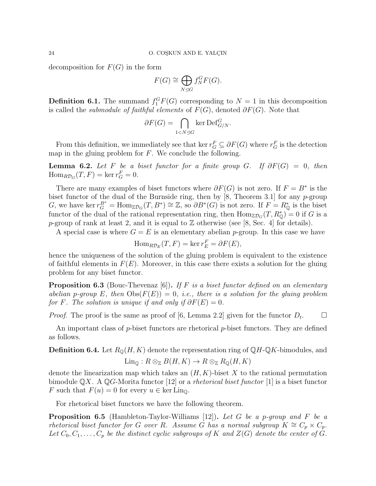decomposition for  $F(G)$  in the form

$$
F(G) \cong \bigoplus_{N \trianglelefteq G} f_N^G F(G).
$$

**Definition 6.1.** The summand  $f_1^G F(G)$  corresponding to  $N = 1$  in this decomposition is called the *submodule of faithful elements* of  $F(G)$ , denoted  $\partial F(G)$ . Note that

$$
\partial F(G) = \bigcap_{1 < N \trianglelefteq G} \ker \text{Def}_{G/N}^G.
$$

From this definition, we immediately see that ker  $r_G^F \subseteq \partial F(G)$  where  $r_G^F$  is the detection map in the gluing problem for  $F$ . We conclude the following.

**Lemma 6.2.** Let F be a biset functor for a finite group G. If  $\partial F(G) = 0$ , then  $\text{Hom}_{R\mathcal{D}_G}(T, F) = \ker r_G^F = 0.$ 

There are many examples of biset functors where  $\partial F(G)$  is not zero. If  $F = B^*$  is the biset functor of the dual of the Burnside ring, then by [8, Theorem 3.1] for any  $p$ -group G, we have ker  $r_G^{B^*} = \text{Hom}_{\mathbb{Z}D_G}(T, B^*) \cong \mathbb{Z}$ , so  $\partial B^*(G)$  is not zero. If  $F = R^*_{\mathbb{Q}}$  is the biset functor of the dual of the rational representation ring, then  $\text{Hom}_{\mathbb{Z}\mathcal{D}_G}(T, R^*_\mathbb{Q}) = 0$  if G is a p-group of rank at least 2, and it is equal to  $\mathbb Z$  otherwise (see [8, Sec. 4] for details).

A special case is where  $G = E$  is an elementary abelian p-group. In this case we have

$$
\operatorname{Hom}_{R\mathcal{D}_E}(T, F) = \ker r_E^F = \partial F(E),
$$

hence the uniqueness of the solution of the gluing problem is equivalent to the existence of faithful elements in  $F(E)$ . Moreover, in this case there exists a solution for the gluing problem for any biset functor.

**Proposition 6.3** (Bouc-Thevenaz [6]). If F is a biset functor defined on an elementary abelian p-group E, then  $\text{Obs}(F(E)) = 0$ , i.e., there is a solution for the gluing problem for F. The solution is unique if and only if  $\partial F(E) = 0$ .

*Proof.* The proof is the same as proof of [6, Lemma 2.2] given for the functor  $D_t$ .  $\Box$ 

An important class of p-biset functors are rhetorical p-biset functors. They are defined as follows.

**Definition 6.4.** Let  $R_{\mathbb{Q}}(H, K)$  denote the representation ring of  $\mathbb{Q}H$ - $\mathbb{Q}K$ -bimodules, and

$$
\operatorname{Lin}_{\mathbb{Q}}: R \otimes_{\mathbb{Z}} B(H, K) \to R \otimes_{\mathbb{Z}} R_{\mathbb{Q}}(H, K)
$$

denote the linearization map which takes an  $(H, K)$ -biset X to the rational permutation bimodule  $\mathbb{Q}X$ . A  $\mathbb{Q}G$ -Morita functor [12] or a *rhetorical biset functor* [1] is a biset functor F such that  $F(u) = 0$  for every  $u \in \text{ker } \text{Lin}_{\mathbb{Q}}$ .

For rhetorical biset functors we have the following theorem.

**Proposition 6.5** (Hambleton-Taylor-Williams [12]). Let G be a p-group and F be a rhetorical biset functor for G over R. Assume G has a normal subgroup  $K \cong C_p \times C_p$ . Let  $C_0, C_1, \ldots, C_p$  be the distinct cyclic subgroups of K and  $Z(G)$  denote the center of G.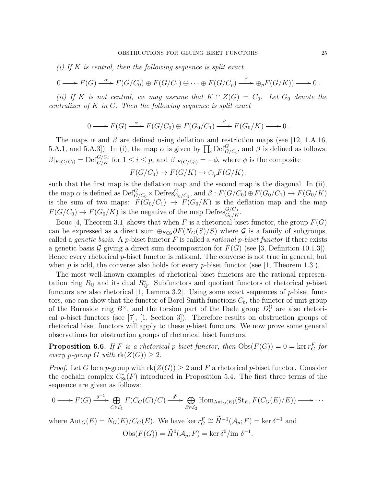(i) If K is central, then the following sequence is split exact

$$
0 \longrightarrow F(G) \stackrel{\alpha}{\longrightarrow} F(G/C_0) \oplus F(G/C_1) \oplus \cdots \oplus F(G/C_p) \stackrel{\beta}{\longrightarrow} \oplus_p F(G/K) \longrightarrow 0.
$$

(ii) If K is not central, we may assume that  $K \cap Z(G) = C_0$ . Let  $G_0$  denote the centralizer of  $K$  in  $G$ . Then the following sequence is split exact

$$
0 \longrightarrow F(G) \xrightarrow{\alpha} F(G/C_0) \oplus F(G_0/C_1) \xrightarrow{\beta} F(G_0/K) \longrightarrow 0.
$$

The maps  $\alpha$  and  $\beta$  are defined using deflation and restriction maps (see [12, 1.A.16, 5.A.1, and 5.A.3]). In (i), the map  $\alpha$  is given by  $\prod_i \text{Def}_{G/C_i}^G$ , and  $\beta$  is defined as follows:  $\beta|_{F(G/C_i)} = \mathrm{Def}_{G/K}^{G/C_i}$  for  $1 \leq i \leq p$ , and  $\beta|_{F(G/C_0)} = -\phi$ , where  $\phi$  is the composite  $F(G/C_0) \to F(G/K) \to \bigoplus_n F(G/K),$ 

such that the first map is the deflation map and the second map is the diagonal. In (ii), the map  $\alpha$  is defined as  $\mathrm{Def}_{G/C_0}^G \times \mathrm{Defres}_{G_0/C_1}^G$ , and  $\beta : F(G/C_0) \oplus F(G_0/C_1) \to F(G_0/K)$ is the sum of two maps:  $F(G_0/C_1) \to F(G_0/K)$  is the deflation map and the map  $F(G/C_0) \to F(G_0/K)$  is the negative of the map Defres ${}_{G_0/K}^{G/C_0}$ .

Bouc [4, Theorem 3.1] shows that when F is a rhetorical biset functor, the group  $F(G)$ can be expressed as a direct sum  $\bigoplus_{S\in\mathcal{G}}\partial F(N_G(S)/S)$  where  $\mathcal G$  is a family of subgroups, called a *genetic basis*. A *p*-biset functor  $F$  is called a *rational p-biset functor* if there exists a genetic basis G giving a direct sum decomposition for  $F(G)$  (see [3, Definition 10.1.3]). Hence every rhetorical *p*-biset functor is rational. The converse is not true in general, but when p is odd, the converse also holds for every p-biset functor (see [1, Theorem 1.3]).

The most well-known examples of rhetorical biset functors are the rational representation ring  $R_{\mathbb{Q}}$  and its dual  $R_{\mathbb{Q}}^*$ . Subfunctors and quotient functors of rhetorical p-biset functors are also rhetorical [1, Lemma 3.2]. Using some exact sequences of  $p$ -biset functors, one can show that the functor of Borel Smith functions  $C_b$ , the functor of unit group of the Burnside ring  $B^{\times}$ , and the torsion part of the Dade group  $D_t^{\Omega}$  are also rhetorical p-biset functors (see [7], [1, Section 3]). Therefore results on obstruction groups of rhetorical biset functors will apply to these p-biset functors. We now prove some general observations for obstruction groups of rhetorical biset functors.

**Proposition 6.6.** If F is a rhetorical p-biset functor, then  $\text{Obs}(F(G)) = 0 = \ker r_G^F$  for every p-group G with  $\text{rk}(Z(G)) \geq 2$ .

*Proof.* Let G be a p-group with  $rk(Z(G)) \geq 2$  and F a rhetorical p-biset functor. Consider the cochain complex  $C_{\text{St}}^*(F)$  introduced in Proposition 5.4. The first three terms of the sequence are given as follows:

$$
0 \longrightarrow F(G) \xrightarrow{\delta^{-1}} \bigoplus_{C \in \mathcal{E}_1} F(C_G(C)/C) \xrightarrow{\delta^0} \bigoplus_{E \in \mathcal{E}_2} \text{Hom}_{\text{Aut}_G(E)}(\text{St}_E, F(C_G(E)/E)) \longrightarrow \cdots
$$

where  $\text{Aut}_G(E) = N_G(E)/C_G(E)$ . We have ker  $r_G^F \cong \widetilde{H}^{-1}(\mathcal{A}_p; \overline{F}) = \text{ker }\delta^{-1}$  and  $\mathrm{Obs}(F(G)) = \widetilde{H}^0(\mathcal{A}_p; \overline{F}) = \ker \delta^0 / \mathrm{im} \ \delta^{-1}.$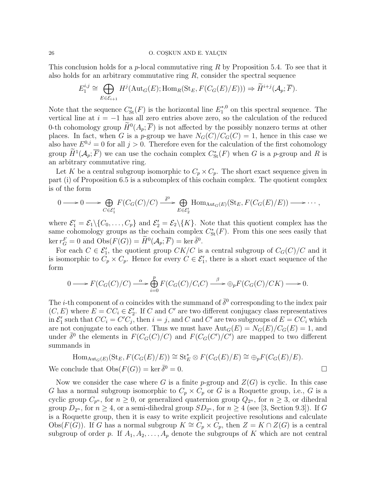#### 26 O. COSKUN AND E. YALCIN

This conclusion holds for a *p*-local commutative ring R by Proposition 5.4. To see that it also holds for an arbitrary commutative ring  $R$ , consider the spectral sequence

$$
E_1^{i,j} \cong \bigoplus_{E \in \mathcal{E}_{i+1}} H^j(\text{Aut}_G(E); \text{Hom}_R(\text{St}_E, F(C_G(E)/E))) \Rightarrow \widetilde{H}^{i+j}(\mathcal{A}_p; \overline{F}).
$$

Note that the sequence  $C^*_{\text{St}}(F)$  is the horizontal line  $E_1^{*,0}$  $1^{*,0}$  on this spectral sequence. The vertical line at  $i = -1$  has all zero entries above zero, so the calculation of the reduced 0-th cohomology group  $\overline{H}^0(A_p; \overline{F})$  is not affected by the possibly nonzero terms at other places. In fact, when G is a p-group we have  $N_G(C)/C_G(C) = 1$ , hence in this case we also have  $E^{0,j} = 0$  for all  $j > 0$ . Therefore even for the calculation of the first cohomology group  $H^1(\mathcal{A}_p;\overline{F})$  we can use the cochain complex  $C^*_{\rm St}(F)$  when G is a p-group and R is an arbitrary commutative ring.

Let K be a central subgroup isomorphic to  $C_p \times C_p$ . The short exact sequence given in part (i) of Proposition 6.5 is a subcomplex of this cochain complex. The quotient complex is of the form

$$
0 \longrightarrow 0 \longrightarrow \bigoplus_{C \in \mathcal{E}'_1} F(C_G(C)/C) \stackrel{\bar{\delta}^0}{\longrightarrow} \bigoplus_{E \in \mathcal{E}'_2} \text{Hom}_{\text{Aut}_G(E)}(\text{St}_E, F(C_G(E)/E)) \longrightarrow \cdots,
$$

where  $\mathcal{E}'_1 = \mathcal{E}_1 \setminus \{C_0, \ldots, C_p\}$  and  $\mathcal{E}'_2 = \mathcal{E}_2 \setminus \{K\}$ . Note that this quotient complex has the same cohomology groups as the cochain complex  $C^*_{\text{St}}(F)$ . From this one sees easily that  $\ker r_G^F = 0$  and  $\text{Obs}(F(G)) = \widetilde{H}^0(\mathcal{A}_p; \overline{F}) = \ker \overline{\delta}^0.$ 

For each  $C \in \mathcal{E}'_1$ , the quotient group  $CK/C$  is a central subgroup of  $C_G(C)/C$  and it is isomorphic to  $C_p \times C_p$ . Hence for every  $C \in \mathcal{E}'_1$ , there is a short exact sequence of the form

$$
0 \longrightarrow F(C_G(C)/C) \stackrel{\alpha}{\longrightarrow} \bigoplus_{i=0}^p F(C_G(C)/C_iC) \stackrel{\beta}{\longrightarrow} \bigoplus_p F(C_G(C)/CK) \longrightarrow 0.
$$

The *i*-th component of  $\alpha$  coincides with the summand of  $\bar{\delta}^0$  corresponding to the index pair  $(C, E)$  where  $E = CC_i \in \mathcal{E}'_2$ . If C and C' are two different conjugacy class representatives in  $\mathcal{E}'_1$  such that  $CC_i = C'C_j$ , then  $i = j$ , and  $C$  and  $C'$  are two subgroups of  $E = CC_i$  which are not conjugate to each other. Thus we must have  $Aut_G(E) = N_G(E)/C_G(E) = 1$ , and under  $\bar{\delta}^0$  the elements in  $F(C_G(C)/C)$  and  $F(C_G(C')/C')$  are mapped to two different summands in

$$
\text{Hom}_{\text{Aut}_G(E)}(\text{St}_E, F(C_G(E)/E)) \cong \text{St}_E^* \otimes F(C_G(E)/E) \cong \bigoplus_p F(C_G(E)/E).
$$
\n
$$
\text{We conclude that } \text{Obs}(F(G)) = \text{ker } \overline{\delta}^0 = 0.
$$

Now we consider the case where G is a finite p-group and  $Z(G)$  is cyclic. In this case G has a normal subgroup isomorphic to  $C_p \times C_p$  or G is a Roquette group, i.e., G is a cyclic group  $C_{p^n}$ , for  $n \geq 0$ , or generalized quaternion group  $Q_{2^n}$ , for  $n \geq 3$ , or dihedral group  $D_{2^n}$ , for  $n \geq 4$ , or a semi-dihedral group  $SD_{2^n}$ , for  $n \geq 4$  (see [3, Section 9.3]). If G is a Roquette group, then it is easy to write explicit projective resolutions and calculate Obs( $F(G)$ ). If G has a normal subgroup  $K \cong C_p \times C_p$ , then  $Z = K \cap Z(G)$  is a central subgroup of order p. If  $A_1, A_2, \ldots, A_p$  denote the subgroups of K which are not central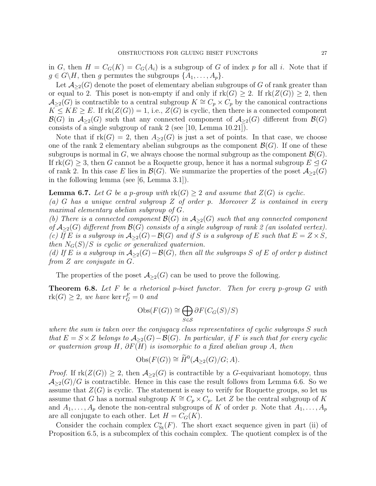in G, then  $H = C_G(K) = C_G(A_i)$  is a subgroup of G of index p for all i. Note that if  $g \in G\backslash H$ , then g permutes the subgroups  $\{A_1, \ldots, A_p\}$ .

Let  $\mathcal{A}_{\geq 2}(G)$  denote the poset of elementary abelian subgroups of G of rank greater than or equal to 2. This poset is non-empty if and only if  $\text{rk}(G) \geq 2$ . If  $\text{rk}(Z(G)) \geq 2$ , then  $\mathcal{A}_{\geq 2}(G)$  is contractible to a central subgroup  $K \cong C_p \times C_p$  by the canonical contractions  $K \leq KE \geq E$ . If  $rk(Z(G)) = 1$ , i.e.,  $Z(G)$  is cyclic, then there is a connected component  $\mathcal{B}(G)$  in  $\mathcal{A}_{\geq 2}(G)$  such that any connected component of  $\mathcal{A}_{\geq 2}(G)$  different from  $\mathcal{B}(G)$ consists of a single subgroup of rank 2 (see [10, Lemma 10.21]).

Note that if  $rk(G) = 2$ , then  $A_{\geq 2}(G)$  is just a set of points. In that case, we choose one of the rank 2 elementary abelian subgroups as the component  $\mathcal{B}(G)$ . If one of these subgroups is normal in G, we always choose the normal subgroup as the component  $\mathcal{B}(G)$ . If  $rk(G) \geq 3$ , then G cannot be a Roquette group, hence it has a normal subgroup  $E \trianglelefteq G$ of rank 2. In this case E lies in  $\mathcal{B}(G)$ . We summarize the properties of the poset  $\mathcal{A}_{\geq 2}(G)$ in the following lemma (see [6, Lemma 3.1]).

**Lemma 6.7.** Let G be a p-group with  $\text{rk}(G) \geq 2$  and assume that  $Z(G)$  is cyclic. (a) G has a unique central subgroup Z of order p. Moreover Z is contained in every maximal elementary abelian subgroup of G.

(b) There is a connected component  $\mathcal{B}(G)$  in  $\mathcal{A}_{\geq 2}(G)$  such that any connected component of  $A_{\geq 2}(G)$  different from  $\mathcal{B}(G)$  consists of a single subgroup of rank 2 (an isolated vertex). (c) If E is a subgroup in  $A_{\geq 2}(G)-\mathcal{B}(G)$  and if S is a subgroup of E such that  $E = Z \times S$ , then  $N_G(S)/S$  is cyclic or generalized quaternion.

(d) If E is a subgroup in  $A_{\geq 2}(G)-\mathcal{B}(G)$ , then all the subgroups S of E of order p distinct from Z are conjugate in G.

The properties of the poset  $\mathcal{A}_{\geq 2}(G)$  can be used to prove the following.

**Theorem 6.8.** Let F be a rhetorical p-biset functor. Then for every p-group G with  $rk(G) \geq 2$ , we have  $ker r_G^F = 0$  and

$$
\mathrm{Obs}(F(G)) \cong \bigoplus_{S \in \mathcal{S}} \partial F(C_G(S)/S)
$$

where the sum is taken over the conjugacy class representatives of cyclic subgroups S such that  $E = S \times Z$  belongs to  $\mathcal{A}_{\geq 2}(G) - \mathcal{B}(G)$ . In particular, if F is such that for every cyclic or quaternion group H,  $\partial F(H)$  is isomorphic to a fixed abelian group A, then

$$
Obs(F(G)) \cong \widetilde{H}^0(\mathcal{A}_{\geq 2}(G)/G; A).
$$

*Proof.* If  $rk(Z(G)) \geq 2$ , then  $A_{\geq 2}(G)$  is contractible by a G-equivariant homotopy, thus  $\mathcal{A}_{\geq 2}(G)/G$  is contractible. Hence in this case the result follows from Lemma 6.6. So we assume that  $Z(G)$  is cyclic. The statement is easy to verify for Roquette groups, so let us assume that G has a normal subgroup  $K \cong C_p \times C_p$ . Let Z be the central subgroup of K and  $A_1, \ldots, A_p$  denote the non-central subgroups of K of order p. Note that  $A_1, \ldots, A_p$ are all conjugate to each other. Let  $H = C_G(K)$ .

Consider the cochain complex  $C^*_{\text{St}}(F)$ . The short exact sequence given in part (ii) of Proposition 6.5, is a subcomplex of this cochain complex. The quotient complex is of the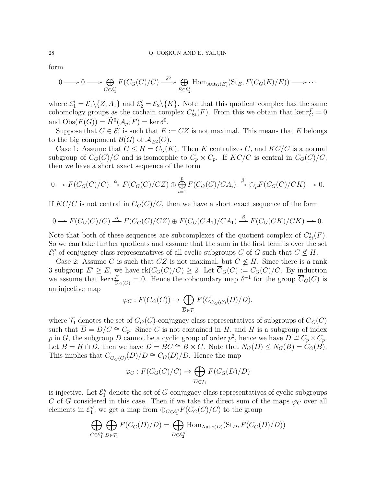form

$$
0 \longrightarrow 0 \longrightarrow \bigoplus_{C \in \mathcal{E}'_1} F(C_G(C)/C) \stackrel{\bar{\delta}^0}{\longrightarrow} \bigoplus_{E \in \mathcal{E}'_2} \text{Hom}_{\text{Aut}_G(E)}(\text{St}_E, F(C_G(E)/E)) \longrightarrow \cdots
$$

where  $\mathcal{E}'_1 = \mathcal{E}_1 \setminus \{Z, A_1\}$  and  $\mathcal{E}'_2 = \mathcal{E}_2 \setminus \{K\}$ . Note that this quotient complex has the same cohomology groups as the cochain complex  $C^*_{\text{St}}(F)$ . From this we obtain that ker  $r_G^F = 0$ and  $\mathrm{Obs}(F(G)) = \widetilde{H}^0(\mathcal{A}_p; \overline{F}) = \ker \overline{\delta}^0.$ 

Suppose that  $C \in \mathcal{E}'_1$  is such that  $E := CZ$  is not maximal. This means that E belongs to the big component  $\mathcal{B}(G)$  of  $\mathcal{A}_{\geq 2}(G)$ .

Case 1: Assume that  $C \leq H = C_G(K)$ . Then K centralizes C, and  $KC/C$  is a normal subgroup of  $C_G(C)/C$  and is isomorphic to  $C_p \times C_p$ . If  $KC/C$  is central in  $C_G(C)/C$ , then we have a short exact sequence of the form

$$
0 \to F(C_G(C)/C) \stackrel{\alpha}{\to} F(C_G(C)/CZ) \oplus \bigoplus_{i=1}^p F(C_G(C)/CA_i) \stackrel{\beta}{\to} \oplus_p F(C_G(C)/CK) \to 0.
$$

If  $KC/C$  is not central in  $C_G(C)/C$ , then we have a short exact sequence of the form

$$
0 \to F(C_G(C)/C) \stackrel{\alpha}{\to} F(C_G(C)/CZ) \oplus F(C_G(CA_1)/CA_1) \stackrel{\beta}{\to} F(C_G(CK)/CK) \to 0.
$$

Note that both of these sequences are subcomplexes of the quotient complex of  $C^*_{\text{St}}(F)$ . So we can take further quotients and assume that the sum in the first term is over the set  $\mathcal{E}_1''$  of conjugacy class representatives of all cyclic subgroups C of G such that  $C \nleq H$ .

Case 2: Assume C is such that CZ is not maximal, but  $C \nleq H$ . Since there is a rank 3 subgroup  $E' \ge E$ , we have  $\text{rk}(C_G(C)/C) \ge 2$ . Let  $\overline{C}_G(C) := C_G(C)/C$ . By induction we assume that ker  $r_{\overline{C}}^F$  $\overline{C}_{G}(C) = 0$ . Hence the coboundary map  $\delta^{-1}$  for the group  $\overline{C}_{G}(C)$  is an injective map

$$
\varphi_C : F(\overline{C}_G(C)) \to \bigoplus_{\overline{D} \in \mathcal{T}_1} F(C_{\overline{C}_G(C)}(\overline{D})/\overline{D}),
$$

where  $\mathcal{T}_1$  denotes the set of  $\overline{C}_G(C)$ -conjugacy class representatives of subgroups of  $\overline{C}_G(C)$ such that  $\overline{D} = D/C \cong C_p$ . Since C is not contained in H, and H is a subgroup of index p in G, the subgroup D cannot be a cyclic group of order  $p^2$ , hence we have  $D \cong C_p \times C_p$ . Let  $B = H \cap D$ , then we have  $D = BC \cong B \times C$ . Note that  $N_G(D) \leq N_G(B) = C_G(B)$ . This implies that  $C_{\overline{C}_G(C)}(\overline{D})/\overline{D} \cong C_G(D)/D$ . Hence the map

$$
\varphi_C : F(C_G(C)/C) \to \bigoplus_{\overline{D} \in \mathcal{T}_1} F(C_G(D)/D)
$$

is injective. Let  $\mathcal{E}_1''$  denote the set of G-conjugacy class representatives of cyclic subgroups C of G considered in this case. Then if we take the direct sum of the maps  $\varphi_C$  over all elements in  $\mathcal{E}_1''$ , we get a map from  $\oplus_{C \in \mathcal{E}_1''} F(C_G(C)/C)$  to the group

$$
\bigoplus_{C \in \mathcal{E}_1''} \bigoplus_{\overline{D} \in \mathcal{T}_1} F(C_G(D)/D) = \bigoplus_{D \in \mathcal{E}_2''} \text{Hom}_{\text{Aut}_G(D)}(\text{St}_D, F(C_G(D)/D))
$$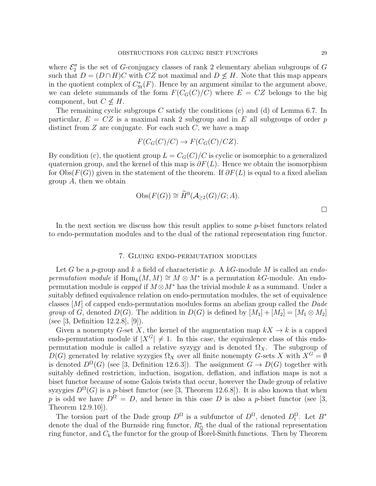where  $\mathcal{E}''_2$  is the set of G-conjugacy classes of rank 2 elementary abelian subgroups of G such that  $D = (D \cap H)C$  with CZ not maximal and  $D \nleq H$ . Note that this map appears in the quotient complex of  $C^*_{\text{St}}(F)$ . Hence by an argument similar to the argument above, we can delete summands of the form  $F(C_G(C)/C)$  where  $E = CZ$  belongs to the big component, but  $C \nless H$ .

The remaining cyclic subgroups  $C$  satisfy the conditions  $(c)$  and  $(d)$  of Lemma 6.7. In particular,  $E = CZ$  is a maximal rank 2 subgroup and in E all subgroups of order p distinct from  $Z$  are conjugate. For each such  $C$ , we have a map

$$
F(C_G(C)/C) \to F(C_G(C)/CZ).
$$

By condition (c), the quotient group  $L = C_G(C)/C$  is cyclic or isomorphic to a generalized quaternion group, and the kernel of this map is  $\partial F(L)$ . Hence we obtain the isomorphism for Obs( $F(G)$ ) given in the statement of the theorem. If  $\partial F(L)$  is equal to a fixed abelian group  $A$ , then we obtain

$$
Obs(F(G)) \cong \widetilde{H}^0(\mathcal{A}_{\geq 2}(G)/G; A).
$$

In the next section we discuss how this result applies to some p-biset functors related to endo-permutation modules and to the dual of the rational representation ring functor.

## 7. Gluing endo-permutation modules

Let G be a p-group and k a field of characteristic p. A  $k$ G-module M is called an endopermutation module if  $\text{Hom}_k(M,M) \cong M \otimes M^*$  is a permutation kG-module. An endopermutation module is *capped* if  $M \otimes M^*$  has the trivial module k as a summand. Under a suitably defined equivalence relation on endo-permutation modules, the set of equivalence classes  $[M]$  of capped endo-permutation modules forms an abelian group called the Dade group of G, denoted  $D(G)$ . The addition in  $D(G)$  is defined by  $[M_1] + [M_2] = [M_1 \otimes M_2]$ (see [3, Definition 12.2.8], [9]).

Given a nonempty G-set X, the kernel of the augmentation map  $kX \to k$  is a capped endo-permutation module if  $|X^G| \neq 1$ . In this case, the equivalence class of this endopermutation module is called a relative syzygy and is denoted  $\Omega_X$ . The subgroup of  $D(G)$  generated by relative syzygies  $\Omega_X$  over all finite nonempty G-sets X with  $X^G = \emptyset$ is denoted  $D^{\Omega}(G)$  (see [3, Definition 12.6.3]). The assignment  $G \to D(G)$  together with suitably defined restriction, induction, isogation, deflation, and inflation maps is not a biset functor because of some Galois twists that occur, however the Dade group of relative syzygies  $D^{\Omega}(G)$  is a p-biset functor (see [3, Theorem 12.6.8]). It is also known that when p is odd we have  $D^{\Omega} = D$ , and hence in this case D is also a p-biset functor (see [3, Theorem 12.9.10]).

The torsion part of the Dade group  $D^{\Omega}$  is a subfunctor of  $D^{\Omega}$ , denoted  $D_t^{\Omega}$ . Let  $B^*$ denote the dual of the Burnside ring functor,  $R^*_{\mathbb{O}}$  the dual of the rational representation ring functor, and  $C_b$  the functor for the group of Borel-Smith functions. Then by Theorem

 $\Box$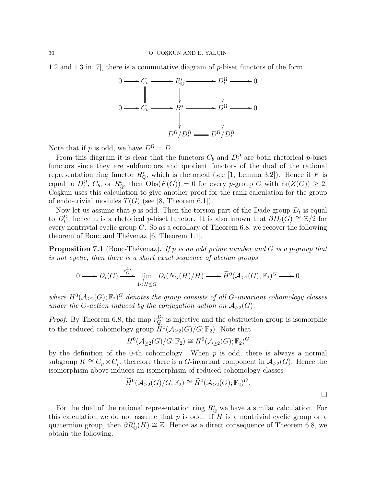1.2 and 1.3 in [7], there is a commutative diagram of p-biset functors of the form



Note that if p is odd, we have  $D^{\Omega} = D$ .

From this diagram it is clear that the functors  $C_b$  and  $D_t^{\Omega}$  are both rhetorical p-biset functors since they are subfunctors and quotient functors of the dual of the rational representation ring functor  $R_{\mathbb{Q}}^*$ , which is rhetorical (see [1, Lemma 3.2]). Hence if F is equal to  $D_t^{\Omega}$ ,  $C_b$ , or  $R_{\mathbb{Q}}^*$ , then  $\text{Obs}(F(G)) = 0$  for every p-group G with  $\text{rk}(Z(G)) \geq 2$ . Co<sub>skun</sub> uses this calculation to give another proof for the rank calculation for the group of endo-trivial modules  $T(G)$  (see [8, Theorem 6.1]).

Now let us assume that  $p$  is odd. Then the torsion part of the Dade group  $D_t$  is equal to  $D_t^{\Omega}$ , hence it is a rhetorical p-biset functor. It is also known that  $\partial D_t(G) \cong \mathbb{Z}/2$  for every nontrivial cyclic group G. So as a corollary of Theorem 6.8, we recover the following theorem of Bouc and Thévenaz  $[6,$  Theorem 1.1].

**Proposition 7.1** (Bouc-Thévenaz). If p is an odd prime number and G is a p-group that is not cyclic, then there is a short exact sequence of abelian groups

$$
0 \longrightarrow D_t(G) \xrightarrow{r_G^{D_t}} \lim_{1 \le H \le G} D_t(N_G(H)/H) \longrightarrow \widetilde{H}^0(\mathcal{A}_{\ge 2}(G); \mathbb{F}_2)^G \longrightarrow 0
$$

where  $H^0(A_{\geq 2}(G); \mathbb{F}_2)^G$  denotes the group consists of all G-invariant cohomology classes under the G-action induced by the conjugation action on  $A_{\geq 2}(G)$ .

*Proof.* By Theorem 6.8, the map  $r_G^{D_t}$  is injective and the obstruction group is isomorphic to the reduced cohomology group  $\widetilde{H}^0(\mathcal{A}_{\geq 2}(G)/G;\mathbb{F}_2)$ . Note that

$$
H^0(\mathcal{A}_{\geq 2}(G)/G;\mathbb{F}_2) \cong H^0(\mathcal{A}_{\geq 2}(G);\mathbb{F}_2)^G
$$

by the definition of the 0-th cohomology. When  $p$  is odd, there is always a normal subgroup  $K \cong C_p \times C_p$ , therefore there is a G-invariant component in  $\mathcal{A}_{\geq 2}(G)$ . Hence the isomorphism above induces an isomorphism of reduced cohomology classes

$$
\widetilde{H}^0(\mathcal{A}_{\geq 2}(G)/G;\mathbb{F}_2) \cong \widetilde{H}^0(\mathcal{A}_{\geq 2}(G);\mathbb{F}_2)^G.
$$

For the dual of the rational representation ring  $R^*_{\mathbb{Q}}$  we have a similar calculation. For this calculation we do not assume that  $p$  is odd. If  $H$  is a nontrivial cyclic group or a quaternion group, then  $\partial R^*_{\mathbb{Q}}(H) \cong \mathbb{Z}$ . Hence as a direct consequence of Theorem 6.8, we obtain the following.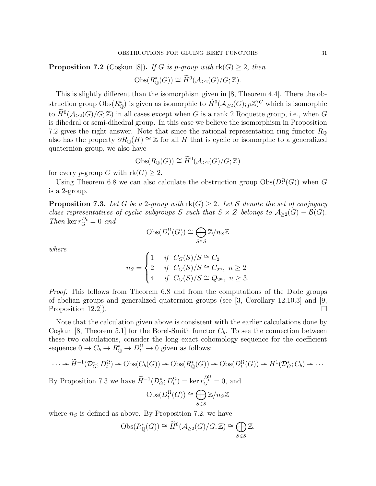**Proposition 7.2** (Coşkun [8]). If G is p-group with  $rk(G) \geq 2$ , then

$$
\mathrm{Obs}(R^*_{\mathbb{Q}}(G)) \cong \widetilde{H}^0(\mathcal{A}_{\geq 2}(G)/G; \mathbb{Z}).
$$

This is slightly different than the isomorphism given in [8, Theorem 4.4]. There the obstruction group  $\mathrm{Obs}(R^*_{\mathbb{Q}})$  is given as isomorphic to  $\widetilde{H}^0(\mathcal{A}_{\geq 2}(G); p\mathbb{Z})^G$  which is isomorphic to  $\widetilde{H}^0(\mathcal{A}_{\geq 2}(G)/G;\mathbb{Z})$  in all cases except when G is a rank 2 Roquette group, i.e., when G is dihedral or semi-dihedral group. In this case we believe the isomorphism in Proposition 7.2 gives the right answer. Note that since the rational representation ring functor  $R_{\mathbb{Q}}$ also has the property  $\partial R_{\mathbb{Q}}(H) \cong \mathbb{Z}$  for all H that is cyclic or isomorphic to a generalized quaternion group, we also have

$$
\mathrm{Obs}(R_{\mathbb{Q}}(G)) \cong \widetilde{H}^0(\mathcal{A}_{\geq 2}(G)/G;\mathbb{Z})
$$

for every p-group G with  $rk(G) \geq 2$ .

Using Theorem 6.8 we can also calculate the obstruction group  $\mathrm{Obs}(D_t^{\Omega}(G))$  when G is a 2-group.

**Proposition 7.3.** Let G be a 2-group with  $rk(G) \geq 2$ . Let S denote the set of conjugacy class representatives of cyclic subgroups S such that  $S \times Z$  belongs to  $\mathcal{A}_{\geq 2}(G) - \mathcal{B}(G)$ . Then ker  $r_G^{D_t} = 0$  and

$$
\mathrm{Obs}(D_t^{\Omega}(G)) \cong \bigoplus_{S \in \mathcal{S}} \mathbb{Z}/n_S \mathbb{Z}
$$

where

$$
n_S = \begin{cases} 1 & \text{if } C_G(S)/S \cong C_2 \\ 2 & \text{if } C_G(S)/S \cong C_{2^n}, \ n \ge 2 \\ 4 & \text{if } C_G(S)/S \cong Q_{2^n}, \ n \ge 3. \end{cases}
$$

Proof. This follows from Theorem 6.8 and from the computations of the Dade groups of abelian groups and generalized quaternion groups (see  $\left[3, \right]$  Corollary 12.10.3) and  $\left[9, \right]$ Proposition 12.2).

Note that the calculation given above is consistent with the earlier calculations done by Coşkun [8, Theorem 5.1] for the Borel-Smith functor  $C_b$ . To see the connection between these two calculations, consider the long exact cohomology sequence for the coefficient sequence  $0 \to C_b \to R^*_{\mathbb{Q}} \to D_t^{\Omega} \to 0$  given as follows:

$$
\cdots \to \widetilde{H}^{-1}(\mathcal{D}_G^*; D_t^{\Omega}) \to \mathrm{Obs}(C_b(G)) \to \mathrm{Obs}(R^*_{\mathbb{Q}}(G)) \to \mathrm{Obs}(D_t^{\Omega}(G)) \to H^1(\mathcal{D}_G^*; C_b) \to \cdots
$$

By Proposition 7.3 we have  $\widetilde{H}^{-1}(\mathcal{D}_{G}^{*}; D_{t}^{\Omega}) = \ker r_{G}^{D_{t}^{\Omega}} = 0$ , and

$$
\mathrm{Obs}(D_t^{\Omega}(G)) \cong \bigoplus_{S \in \mathcal{S}} \mathbb{Z}/n_S \mathbb{Z}
$$

where  $n<sub>S</sub>$  is defined as above. By Proposition 7.2, we have

$$
Obs(R_{\mathbb{Q}}^*(G)) \cong \widetilde{H}^0(\mathcal{A}_{\geq 2}(G)/G;\mathbb{Z}) \cong \bigoplus_{S \in \mathcal{S}} \mathbb{Z}.
$$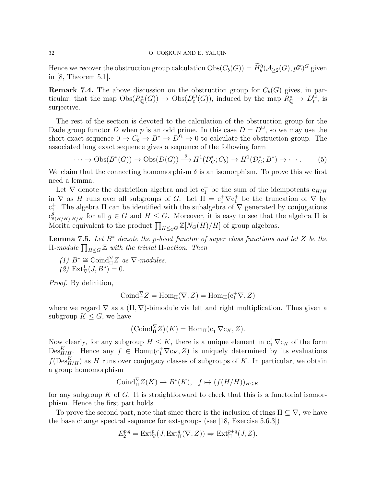### 32 O. COSKUN AND E. YALÇIN

Hence we recover the obstruction group calculation  $\mathrm{Obs}(C_b(G)) = \widetilde{H}_b^0(\mathcal{A}_{\geq 2}(G), p\mathbb{Z})^G$  given in [8, Theorem 5.1].

**Remark 7.4.** The above discussion on the obstruction group for  $C_b(G)$  gives, in particular, that the map  $\text{Obs}(R^*_{\mathbb{Q}}(G)) \to \text{Obs}(D_t^{\Omega}(G))$ , induced by the map  $R^*_{\mathbb{Q}} \to D_t^{\Omega}$ , is surjective.

The rest of the section is devoted to the calculation of the obstruction group for the Dade group functor D when p is an odd prime. In this case  $D = D^{\Omega}$ , so we may use the short exact sequence  $0 \to C_b \to B^* \to D^{\Omega} \to 0$  to calculate the obstruction group. The associated long exact sequence gives a sequence of the following form

$$
\cdots \to \text{Obs}(B^*(G)) \to \text{Obs}(D(G)) \stackrel{\delta}{\longrightarrow} H^1(\mathcal{D}_G^*, C_b) \to H^1(\mathcal{D}_G^*, B^*) \to \cdots. \tag{5}
$$

We claim that the connecting homomorphism  $\delta$  is an isomorphism. To prove this we first need a lemma.

Let  $\nabla$  denote the destriction algebra and let  $c_1^+$  be the sum of the idempotents  $c_{H/H}$ in  $\nabla$  as H runs over all subgroups of G. Let  $\Pi = c_1^+ \nabla c_1^+$  be the truncation of  $\nabla$  by  $c_1^+$ . The algebra Π can be identified with the subalgebra of  $\nabla$  generated by conjugations  $c_{g(H/H),H/H}^{\tilde{g}}$  for all  $g \in G$  and  $H \leq G$ . Moreover, it is easy to see that the algebra  $\Pi$  is Morita equivalent to the product  $\prod_{H\leq_G G} \mathbb{Z}[N_G(H)/H]$  of group algebras.

**Lemma 7.5.** Let  $B^*$  denote the p-biset functor of super class functions and let Z be the  $\Pi$ -module  $\prod_{H\leq G} \mathbb{Z}$  with the trivial  $\Pi$ -action. Then

(1)  $B^* \cong \text{Coind}_{\Pi}^{\nabla} Z$  as  $\nabla$ -modules. (2)  $\text{Ext}^1_{\nabla}(J, B^*) = 0.$ 

Proof. By definition,

$$
Coind_{\Pi}^{\nabla} Z = Hom_{\Pi}(\nabla, Z) = Hom_{\Pi}(c_1^+ \nabla, Z)
$$

where we regard  $\nabla$  as a  $(\Pi, \nabla)$ -bimodule via left and right multiplication. Thus given a subgroup  $K \leq G$ , we have

$$
(\mathrm{Coind}_{\Pi}^{\nabla}Z)(K) = \mathrm{Hom}_{\Pi}(\mathrm{c}_1^+\nabla \mathrm{c}_K, Z).
$$

Now clearly, for any subgroup  $H \leq K$ , there is a unique element in  $c_1^+\nabla c_K$  of the form  $\mathrm{Des}_{H/H}^K$ . Hence any  $f \in \mathrm{Hom}_{\Pi}(\mathrm{c}_1^+\nabla \mathrm{c}_K, Z)$  is uniquely determined by its evaluations  $f(\text{Des}^K_{H/H})$  as H runs over conjugacy classes of subgroups of K. In particular, we obtain a group homomorphism

$$
\text{Coind}_{\Pi}^{\nabla} Z(K) \to B^*(K), \quad f \mapsto (f(H/H))_{H \le K}
$$

for any subgroup K of G. It is straightforward to check that this is a functorial isomorphism. Hence the first part holds.

To prove the second part, note that since there is the inclusion of rings  $\Pi \subseteq \nabla$ , we have the base change spectral sequence for ext-groups (see [18, Exercise 5.6.3])

$$
E_2^{p,q} = \text{Ext}^p_{\nabla}(J, \text{Ext}^q_{\Pi}(\nabla, Z)) \Rightarrow \text{Ext}^{p+q}_{\Pi}(J, Z).
$$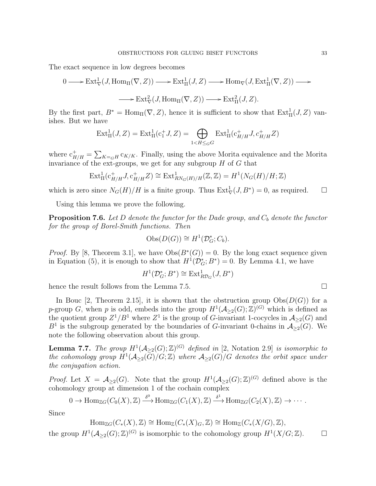The exact sequence in low degrees becomes

$$
0 \longrightarrow \text{Ext}^1_{\nabla}(J, \text{Hom}_{\Pi}(\nabla, Z)) \longrightarrow \text{Ext}^1_{\Pi}(J, Z) \longrightarrow \text{Hom}_{\nabla}(J, \text{Ext}^1_{\Pi}(\nabla, Z)) \longrightarrow
$$
  

$$
\longrightarrow \text{Ext}^2_{\nabla}(J, \text{Hom}_{\Pi}(\nabla, Z)) \longrightarrow \text{Ext}^2_{\Pi}(J, Z).
$$

By the first part,  $B^* = \text{Hom}_{\Pi}(\nabla, Z)$ , hence it is sufficient to show that  $\text{Ext}^1_{\Pi}(J, Z)$  vanishes. But we have

$$
Ext_{\Pi}^{1}(J, Z) = Ext_{\Pi}^{1}(c_{1}^{+} J, Z) = \bigoplus_{1 < H \leq_{G} G} Ext_{\Pi}^{1}(c_{H/H}^{+} J, c_{H/H}^{+} Z)
$$

where  $c_{H/H}^+ = \sum_{K=GH} c_{K/K}$ . Finally, using the above Morita equivalence and the Morita invariance of the ext-groups, we get for any subgroup  $H$  of  $G$  that

$$
\operatorname{Ext}^1_{\Pi}(\operatorname{c}_{H/H}^+,J\operatorname{c}_{H/H}^+Z)\cong \operatorname{Ext}^1_{RN_G(H)/H}(\mathbb{Z},\mathbb{Z})=H^1(N_G(H)/H;\mathbb{Z})
$$

which is zero since  $N_G(H)/H$  is a finite group. Thus  $\text{Ext}^1_{\nabla}(J, B^*) = 0$ , as required.  $\square$ 

Using this lemma we prove the following.

**Proposition 7.6.** Let D denote the functor for the Dade group, and  $C_b$  denote the functor for the group of Borel-Smith functions. Then

$$
Obs(D(G)) \cong H^1(\mathcal{D}_G^*; C_b).
$$

*Proof.* By [8, Theorem 3.1], we have  $Obs(B^*(G)) = 0$ . By the long exact sequence given in Equation (5), it is enough to show that  $H^1(\mathcal{D}_G^*; B^*) = 0$ . By Lemma 4.1, we have

$$
H^1(\mathcal{D}_G^*; B^*) \cong \text{Ext}^1_{R\mathcal{D}_G}(J, B^*)
$$

hence the result follows from the Lemma 7.5.

In Bouc [2, Theorem 2.15], it is shown that the obstruction group  $\text{Obs}(D(G))$  for a p-group G, when p is odd, embeds into the group  $H^1(\mathcal{A}_{\geq 2}(G);\mathbb{Z})^{(G)}$  which is defined as the quotient group  $Z^1/B^1$  where  $Z^1$  is the group of G-invariant 1-cocycles in  $\mathcal{A}_{\geq 2}(G)$  and  $B<sup>1</sup>$  is the subgroup generated by the boundaries of G-invariant 0-chains in  $\mathcal{A}_{\geq 2}(G)$ . We note the following observation about this group.

**Lemma 7.7.** The group  $H^1(\mathcal{A}_{\geq 2}(G); \mathbb{Z})^{(G)}$  defined in [2, Notation 2.9] is isomorphic to the cohomology group  $H^1({\cal A}_{\geq 2}(\bar{G})/G;\mathbb{Z})$  where  ${\cal A}_{\geq 2}(G)/G$  denotes the orbit space under the conjugation action.

*Proof.* Let  $X = \mathcal{A}_{\geq 2}(G)$ . Note that the group  $H^1(\mathcal{A}_{\geq 2}(G); \mathbb{Z})^{(G)}$  defined above is the cohomology group at dimension 1 of the cochain complex

$$
0 \to \text{Hom}_{\mathbb{Z}G}(C_0(X), \mathbb{Z}) \xrightarrow{\delta^0} \text{Hom}_{\mathbb{Z}G}(C_1(X), \mathbb{Z}) \xrightarrow{\delta^1} \text{Hom}_{\mathbb{Z}G}(C_2(X), \mathbb{Z}) \to \cdots
$$

Since

 $\text{Hom}_{\mathbb{Z} G}(C_*(X), \mathbb{Z}) \cong \text{Hom}_{\mathbb{Z}}(C_*(X)_G, \mathbb{Z}) \cong \text{Hom}_{\mathbb{Z}}(C_*(X/G), \mathbb{Z}),$ 

the group  $H^1(\mathcal{A}_{\geq 2}(G);\mathbb{Z})^{(G)}$  is isomorphic to the cohomology group  $H^1(X/G;\mathbb{Z})$ .  $\Box$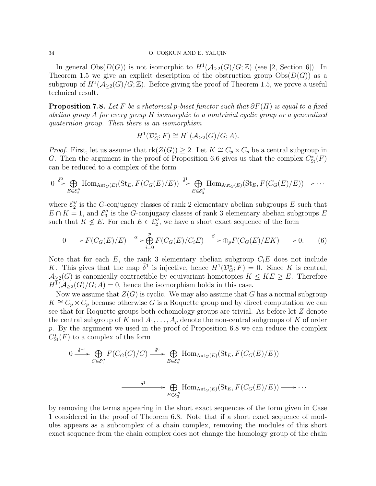### 34 O. COSKUN AND E. YALÇIN

In general  $\text{Obs}(D(G))$  is not isomorphic to  $H^1(\mathcal{A}_{\geq 2}(G)/G;\mathbb{Z})$  (see [2, Section 6]). In Theorem 1.5 we give an explicit description of the obstruction group  $\text{Obs}(D(G))$  as a subgroup of  $H^1(\mathcal{A}_{\geq 2}(G)/G;\mathbb{Z})$ . Before giving the proof of Theorem 1.5, we prove a useful technical result.

**Proposition 7.8.** Let F be a rhetorical p-biset functor such that  $\partial F(H)$  is equal to a fixed abelian group A for every group H isomorphic to a nontrivial cyclic group or a generalized quaternion group. Then there is an isomorphism

$$
H^1(\mathcal{D}_G^*; F) \cong H^1(\mathcal{A}_{\geq 2}(G)/G; A).
$$

*Proof.* First, let us assume that  $\text{rk}(Z(G)) \geq 2$ . Let  $K \cong C_p \times C_p$  be a central subgroup in G. Then the argument in the proof of Proposition 6.6 gives us that the complex  $C^*_{\rm St}(F)$ can be reduced to a complex of the form

$$
0 \xrightarrow{\bar{\delta}^0} \bigoplus_{E \in \mathcal{E}_2''} \text{Hom}_{\text{Aut}_G(E)}(\text{St}_E, F(C_G(E)/E)) \xrightarrow{\bar{\delta}^1} \bigoplus_{E \in \mathcal{E}_3''} \text{Hom}_{\text{Aut}_G(E)}(\text{St}_E, F(C_G(E)/E)) \longrightarrow \cdots
$$

where  $\mathcal{E}''_2$  is the G-conjugacy classes of rank 2 elementary abelian subgroups E such that  $E \cap K = 1$ , and  $\mathcal{E}_3''$  is the G-conjugacy classes of rank 3 elementary abelian subgroups E such that  $K \nleq E$ . For each  $E \in \mathcal{E}_2''$ , we have a short exact sequence of the form

$$
0 \longrightarrow F(C_G(E)/E) \stackrel{\alpha}{\longrightarrow} \bigoplus_{i=0}^p F(C_G(E)/C_iE) \stackrel{\beta}{\longrightarrow} \bigoplus_p F(C_G(E)/EK) \longrightarrow 0. \tag{6}
$$

Note that for each E, the rank 3 elementary abelian subgroup  $C_iE$  does not include K. This gives that the map  $\bar{\delta}^1$  is injective, hence  $H^1(\mathcal{D}_{G}^*; F) = 0$ . Since K is central,  $\mathcal{A}_{\geq 2}(G)$  is canonically contractible by equivariant homotopies  $K \leq KE \geq E$ . Therefore  $H^1(\mathcal{A}_{\geq 2}(G)/G; A) = 0$ , hence the isomorphism holds in this case.

Now we assume that  $Z(G)$  is cyclic. We may also assume that G has a normal subgroup  $K \cong C_p \times C_p$  because otherwise G is a Roquette group and by direct computation we can see that for Roquette groups both cohomology groups are trivial. As before let Z denote the central subgroup of K and  $A_1, \ldots, A_p$  denote the non-central subgroups of K of order p. By the argument we used in the proof of Proposition 6.8 we can reduce the complex  $C^*_{\mathrm{St}}(F)$  to a complex of the form

$$
0 \xrightarrow{\bar{\delta}^{-1}} \bigoplus_{C \in \mathcal{E}_1^{\prime\prime}} F(C_G(C)/C) \xrightarrow{\bar{\delta}^0} \bigoplus_{E \in \mathcal{E}_2^{\prime\prime}} \text{Hom}_{\text{Aut}_G(E)}(\text{St}_E, F(C_G(E)/E))
$$
  

$$
\xrightarrow{\bar{\delta}^1} \bigoplus_{E \in \mathcal{E}_3^{\prime\prime}} \text{Hom}_{\text{Aut}_G(E)}(\text{St}_E, F(C_G(E)/E)) \longrightarrow \cdots
$$

by removing the terms appearing in the short exact sequences of the form given in Case 1 considered in the proof of Theorem 6.8. Note that if a short exact sequence of modules appears as a subcomplex of a chain complex, removing the modules of this short exact sequence from the chain complex does not change the homology group of the chain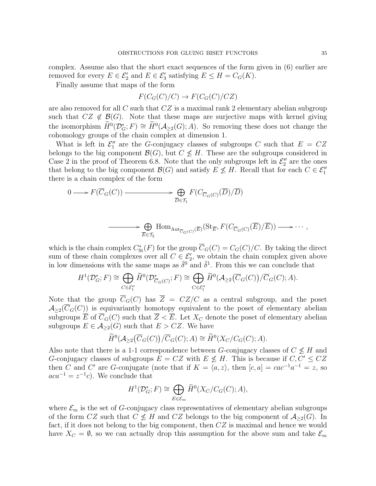complex. Assume also that the short exact sequences of the form given in (6) earlier are removed for every  $E \in \mathcal{E}'_2$  and  $E \in \mathcal{E}'_3$  satisfying  $E \le H = C_G(K)$ .

Finally assume that maps of the form

$$
F(C_G(C)/C) \to F(C_G(C)/CZ)
$$

are also removed for all C such that  $CZ$  is a maximal rank 2 elementary abelian subgroup such that  $CZ \notin \mathcal{B}(G)$ . Note that these maps are surjective maps with kernel giving the isomorphism  $\widetilde{H}^0(\mathcal{D}_{G}^*; F) \cong \widetilde{H}^0(\mathcal{A}_{\geq 2}(G); A)$ . So removing these does not change the cohomology groups of the chain complex at dimension 1.

What is left in  $\mathcal{E}_1''$  are the G-conjugacy classes of subgroups C such that  $E = CZ$ belongs to the big component  $\mathcal{B}(G)$ , but  $C \not\leq H$ . These are the subgroups considered in Case 2 in the proof of Theorem 6.8. Note that the only subgroups left in  $\mathcal{E}_2''$  are the ones that belong to the big component  $\mathcal{B}(G)$  and satisfy  $E \nleq H$ . Recall that for each  $C \in \mathcal{E}_1''$ there is a chain complex of the form

$$
0 \longrightarrow F(\overline{C}_G(C)) \longrightarrow \bigoplus_{\overline{D} \in \mathcal{T}_1} F(C_{\overline{C}_G(C)}(\overline{D})/\overline{D})
$$

$$
\longrightarrow \bigoplus_{\overline{E}\in \mathcal{T}_2} \text{Hom}_{\text{Aut}_{\overline{C}_G(C)}(\overline{E})}(\text{St}_{\overline{E}}, F(C_{\overline{C}_G(C)}(\overline{E})/\overline{E})) \longrightarrow \cdots,
$$

which is the chain complex  $C^*_{\text{St}}(F)$  for the group  $\overline{C}_G(C) = C_G(C)/C$ . By taking the direct sum of these chain complexes over all  $C \in \mathcal{E}'_2$ , we obtain the chain complex given above in low dimensions with the same maps as  $\bar{\delta}^0$  and  $\bar{\delta}^1$ . From this we can conclude that

$$
H^1(\mathcal{D}_G^*; F) \cong \bigoplus_{C \in \mathcal{E}_1''} \widetilde{H}^0(\mathcal{D}_{\overline{C}_G(C)}^*; F) \cong \bigoplus_{C \in \mathcal{E}_1''} \widetilde{H}^0(\mathcal{A}_{\geq 2}(\overline{C}_G(C))/\overline{C}_G(C); A).
$$

Note that the group  $\overline{C}_G(C)$  has  $\overline{Z} = CZ/C$  as a central subgroup, and the poset  $\mathcal{A}_{\geq 2}(\overline{C}_G(C))$  is equivariantly homotopy equivalent to the poset of elementary abelian subgroups  $\overline{E}$  of  $\overline{C}_G(C)$  such that  $\overline{Z} < \overline{E}$ . Let  $X_C$  denote the poset of elementary abelian subgroups  $E \in \mathcal{A}_{\geq 2}(G)$  such that  $E > CZ$ . We have

$$
\widetilde{H}^0(\mathcal{A}_{\geq 2}(\overline{C}_G(C))/\overline{C}_G(C);A) \cong \widetilde{H}^0(X_C/C_G(C);A).
$$

Also note that there is a 1-1 correspondence between G-conjugacy classes of  $C \nleq H$  and G-conjugacy classes of subgroups  $E = CZ$  with  $E \nleq H$ . This is because if  $C, C' \leq CZ$ then C and C' are G-conjugate (note that if  $K = \langle a, z \rangle$ , then  $[c, a] = cac^{-1}a^{-1} = z$ , so  $aca^{-1} = z^{-1}c$ . We conclude that

$$
H^1(\mathcal{D}_G^*; F) \cong \bigoplus_{E \in \mathcal{E}_m} \widetilde{H}^0(X_C/C_G(C); A),
$$

where  $\mathcal{E}_m$  is the set of G-conjugacy class representatives of elementary abelian subgroups of the form CZ such that  $C \nleq H$  and CZ belongs to the big component of  $A_{\geq 2}(G)$ . In fact, if it does not belong to the big component, then CZ is maximal and hence we would have  $X_C = \emptyset$ , so we can actually drop this assumption for the above sum and take  $\mathcal{E}_m$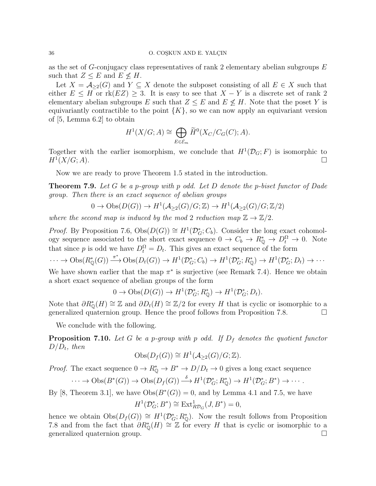#### 36 O. COŞKUN AND E. YALÇIN

as the set of G-conjugacy class representatives of rank 2 elementary abelian subgroups  $E$ such that  $Z \leq E$  and  $E \nleq H$ .

Let  $X = \mathcal{A}_{\geq 2}(G)$  and  $Y \subseteq X$  denote the subposet consisting of all  $E \in X$  such that either  $E \leq H$  or  $\text{rk}(EZ) \geq 3$ . It is easy to see that  $X - Y$  is a discrete set of rank 2 elementary abelian subgroups E such that  $Z \leq E$  and  $E \nleq H$ . Note that the poset Y is equivariantly contractible to the point  $\{K\}$ , so we can now apply an equivariant version of [5, Lemma 6.2] to obtain

$$
H^1(X/G;A) \cong \bigoplus_{E \in \mathcal{E}_m} \widetilde{H}^0(X_C/C_G(C);A).
$$

Together with the earlier isomorphism, we conclude that  $H^1(\mathcal{D}_G; F)$  is isomorphic to  $H^{1}(X/G; A).$  $(X/G; A)$ .

Now we are ready to prove Theorem 1.5 stated in the introduction.

**Theorem 7.9.** Let G be a p-group with p odd. Let D denote the p-biset functor of Dade group. Then there is an exact sequence of abelian groups

$$
0 \to \text{Obs}(D(G)) \to H^1(\mathcal{A}_{\geq 2}(G)/G;\mathbb{Z}) \to H^1(\mathcal{A}_{\geq 2}(G)/G;\mathbb{Z}/2)
$$

where the second map is induced by the mod 2 reduction map  $\mathbb{Z} \to \mathbb{Z}/2$ .

*Proof.* By Proposition 7.6,  $Obs(D(G)) \cong H^1(\mathcal{D}_G^*; C_b)$ . Consider the long exact cohomology sequence associated to the short exact sequence  $0 \to C_b \to R^*_{\mathbb{Q}} \to D_t^{\Omega} \to 0$ . Note that since p is odd we have  $D_t^{\Omega} = D_t$ . This gives an exact sequence of the form

 $\cdots \to \mathrm{Obs}(R^*_{\mathbb{Q}}(G)) \stackrel{\pi^*}{\longrightarrow} \mathrm{Obs}(D_t(G)) \to H^1(\mathcal{D}^*_{G}; C_b) \to H^1(\mathcal{D}^*_{G}; R^*_{\mathbb{Q}}) \to H^1(\mathcal{D}^*_{G}; D_t) \to \cdots$ 

We have shown earlier that the map  $\pi^*$  is surjective (see Remark 7.4). Hence we obtain a short exact sequence of abelian groups of the form

 $0 \to \mathrm{Obs}(D(G)) \to H^1(\mathcal{D}_G^*; R^*_{\mathbb{Q}}) \to H^1(\mathcal{D}_G^*; D_t).$ 

Note that  $\partial R_{\mathbb{Q}}^*(H) \cong \mathbb{Z}$  and  $\partial D_t(H) \cong \mathbb{Z}/2$  for every H that is cyclic or isomorphic to a generalized quaternion group. Hence the proof follows from Proposition 7.8.

We conclude with the following.

**Proposition 7.10.** Let G be a p-group with p odd. If  $D_f$  denotes the quotient functor  $D/D_t$ , then

$$
Obs(D_f(G)) \cong H^1(\mathcal{A}_{\geq 2}(G)/G; \mathbb{Z}).
$$

*Proof.* The exact sequence  $0 \to R_0^* \to B^* \to D/D_t \to 0$  gives a long exact sequence

$$
\cdots \to \mathrm{Obs}(B^*(G)) \to \mathrm{Obs}(D_f(G)) \stackrel{\delta}{\longrightarrow} H^1(\mathcal{D}_G^*; R^*_{\mathbb{Q}}) \to H^1(\mathcal{D}_G^*; B^*) \to \cdots.
$$

By [8, Theorem 3.1], we have  $Obs(B^*(G))=0$ , and by Lemma 4.1 and 7.5, we have

$$
H^1(\mathcal{D}_G^*;B^*)\cong\operatorname{Ext}^1_{R\mathcal{D}_G}(J,B^*)=0,
$$

hence we obtain  $\text{Obs}(D_f(G)) \cong H^1(\mathcal{D}_{G}^*; R_{\mathbb{Q}}^*)$ . Now the result follows from Proposition 7.8 and from the fact that  $\partial R_{\mathbb{O}}^*(H) \cong \mathbb{Z}$  for every H that is cyclic or isomorphic to a generalized quaternion group.